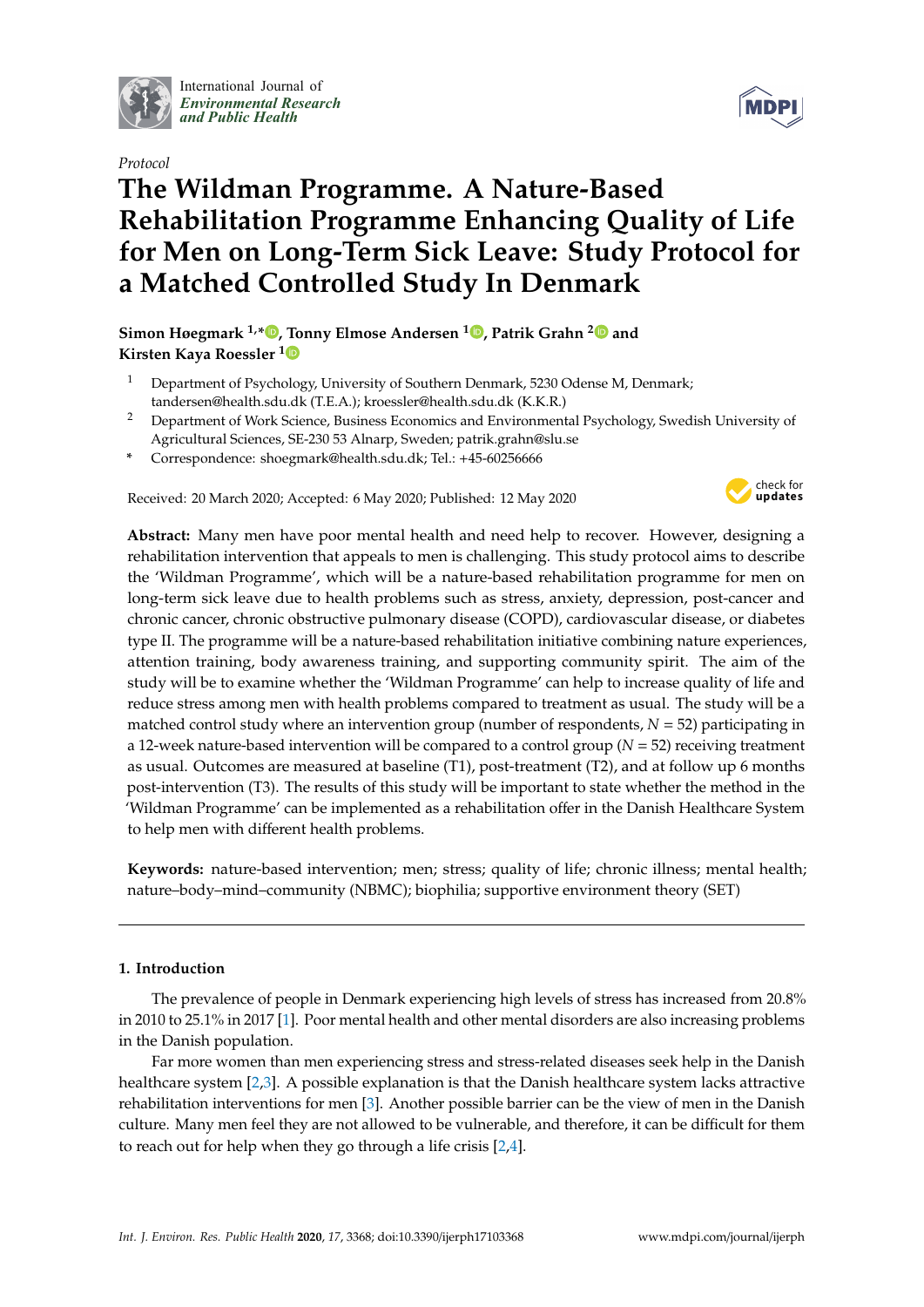

International Journal of *[Environmental Research](http://www.mdpi.com/journal/ijerph) and Public Health*





# **The Wildman Programme. A Nature-Based Rehabilitation Programme Enhancing Quality of Life for Men on Long-Term Sick Leave: Study Protocol for a Matched Controlled Study In Denmark**

**Simon Høegmark 1,\* [,](https://orcid.org/0000-0001-6228-2152) Tonny Elmose Andersen <sup>1</sup> [,](https://orcid.org/0000-0002-9045-7500) Patrik Grahn [2](https://orcid.org/0000-0001-7570-8992) and Kirsten Kaya Roessler [1](https://orcid.org/0000-0001-6605-7999)**

- <sup>1</sup> Department of Psychology, University of Southern Denmark, 5230 Odense M, Denmark; tandersen@health.sdu.dk (T.E.A.); kroessler@health.sdu.dk (K.K.R.)
- <sup>2</sup> Department of Work Science, Business Economics and Environmental Psychology, Swedish University of Agricultural Sciences, SE-230 53 Alnarp, Sweden; patrik.grahn@slu.se
- **\*** Correspondence: shoegmark@health.sdu.dk; Tel.: +45-60256666

Received: 20 March 2020; Accepted: 6 May 2020; Published: 12 May 2020



**Abstract:** Many men have poor mental health and need help to recover. However, designing a rehabilitation intervention that appeals to men is challenging. This study protocol aims to describe the 'Wildman Programme', which will be a nature-based rehabilitation programme for men on long-term sick leave due to health problems such as stress, anxiety, depression, post-cancer and chronic cancer, chronic obstructive pulmonary disease (COPD), cardiovascular disease, or diabetes type II. The programme will be a nature-based rehabilitation initiative combining nature experiences, attention training, body awareness training, and supporting community spirit. The aim of the study will be to examine whether the 'Wildman Programme' can help to increase quality of life and reduce stress among men with health problems compared to treatment as usual. The study will be a matched control study where an intervention group (number of respondents, *N* = 52) participating in a 12-week nature-based intervention will be compared to a control group (*N* = 52) receiving treatment as usual. Outcomes are measured at baseline (T1), post-treatment (T2), and at follow up 6 months post-intervention (T3). The results of this study will be important to state whether the method in the 'Wildman Programme' can be implemented as a rehabilitation offer in the Danish Healthcare System to help men with different health problems.

**Keywords:** nature-based intervention; men; stress; quality of life; chronic illness; mental health; nature–body–mind–community (NBMC); biophilia; supportive environment theory (SET)

## **1. Introduction**

The prevalence of people in Denmark experiencing high levels of stress has increased from 20.8% in 2010 to 25.1% in 2017 [\[1\]](#page-12-0). Poor mental health and other mental disorders are also increasing problems in the Danish population.

Far more women than men experiencing stress and stress-related diseases seek help in the Danish healthcare system [\[2](#page-12-1)[,3\]](#page-12-2). A possible explanation is that the Danish healthcare system lacks attractive rehabilitation interventions for men [\[3\]](#page-12-2). Another possible barrier can be the view of men in the Danish culture. Many men feel they are not allowed to be vulnerable, and therefore, it can be difficult for them to reach out for help when they go through a life crisis [\[2,](#page-12-1)[4\]](#page-12-3).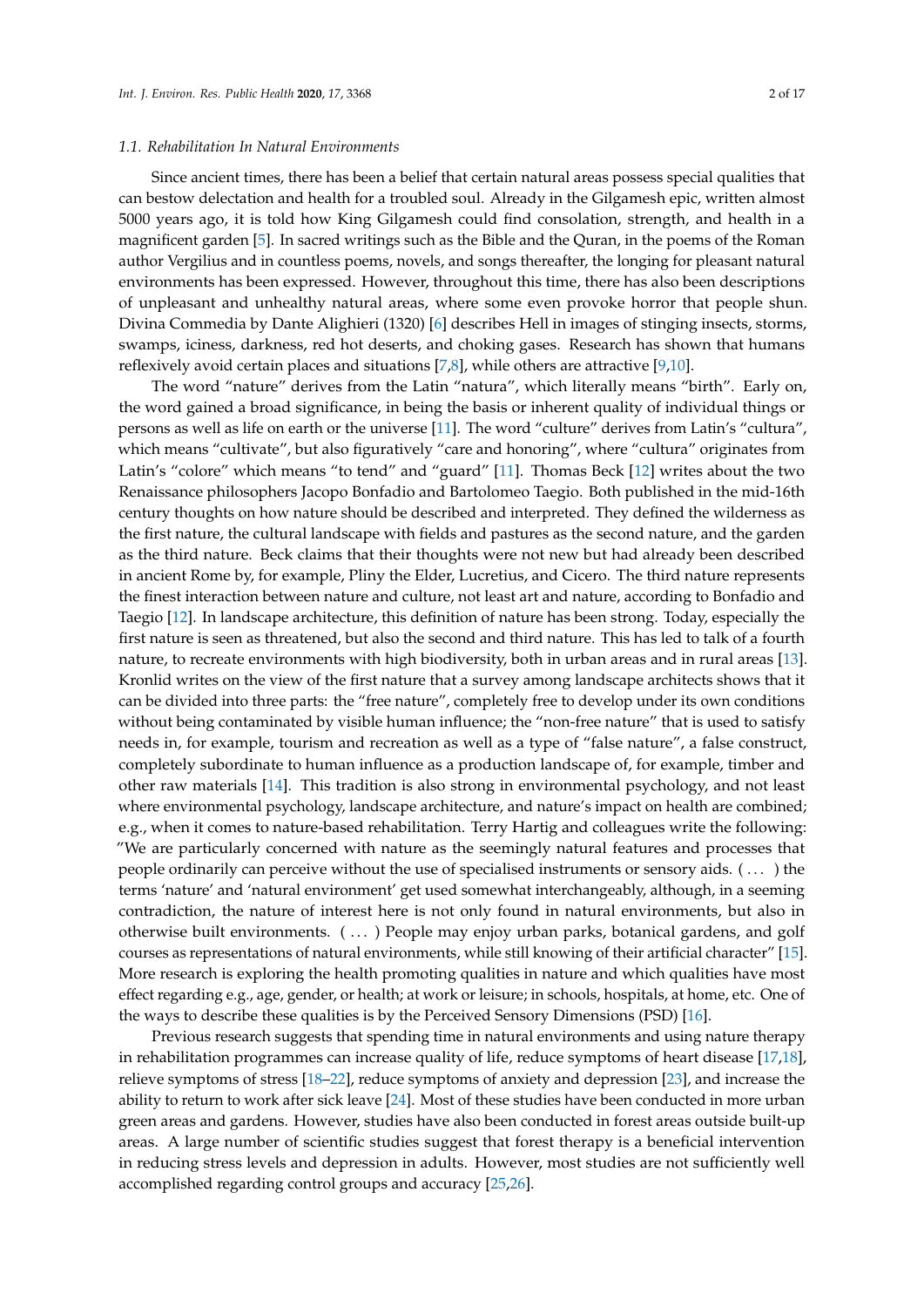### *1.1. Rehabilitation In Natural Environments*

Since ancient times, there has been a belief that certain natural areas possess special qualities that can bestow delectation and health for a troubled soul. Already in the Gilgamesh epic, written almost 5000 years ago, it is told how King Gilgamesh could find consolation, strength, and health in a magnificent garden [\[5\]](#page-12-4). In sacred writings such as the Bible and the Quran, in the poems of the Roman author Vergilius and in countless poems, novels, and songs thereafter, the longing for pleasant natural environments has been expressed. However, throughout this time, there has also been descriptions of unpleasant and unhealthy natural areas, where some even provoke horror that people shun. Divina Commedia by Dante Alighieri (1320) [\[6\]](#page-12-5) describes Hell in images of stinging insects, storms, swamps, iciness, darkness, red hot deserts, and choking gases. Research has shown that humans reflexively avoid certain places and situations [\[7,](#page-12-6)[8\]](#page-12-7), while others are attractive [\[9,](#page-12-8)[10\]](#page-12-9).

The word "nature" derives from the Latin "natura", which literally means "birth". Early on, the word gained a broad significance, in being the basis or inherent quality of individual things or persons as well as life on earth or the universe [\[11\]](#page-12-10). The word "culture" derives from Latin's "cultura", which means "cultivate", but also figuratively "care and honoring", where "cultura" originates from Latin's "colore" which means "to tend" and "guard" [\[11\]](#page-12-10). Thomas Beck [\[12\]](#page-12-11) writes about the two Renaissance philosophers Jacopo Bonfadio and Bartolomeo Taegio. Both published in the mid-16th century thoughts on how nature should be described and interpreted. They defined the wilderness as the first nature, the cultural landscape with fields and pastures as the second nature, and the garden as the third nature. Beck claims that their thoughts were not new but had already been described in ancient Rome by, for example, Pliny the Elder, Lucretius, and Cicero. The third nature represents the finest interaction between nature and culture, not least art and nature, according to Bonfadio and Taegio [\[12\]](#page-12-11). In landscape architecture, this definition of nature has been strong. Today, especially the first nature is seen as threatened, but also the second and third nature. This has led to talk of a fourth nature, to recreate environments with high biodiversity, both in urban areas and in rural areas [\[13\]](#page-12-12). Kronlid writes on the view of the first nature that a survey among landscape architects shows that it can be divided into three parts: the "free nature", completely free to develop under its own conditions without being contaminated by visible human influence; the "non-free nature" that is used to satisfy needs in, for example, tourism and recreation as well as a type of "false nature", a false construct, completely subordinate to human influence as a production landscape of, for example, timber and other raw materials [\[14\]](#page-12-13). This tradition is also strong in environmental psychology, and not least where environmental psychology, landscape architecture, and nature's impact on health are combined; e.g., when it comes to nature-based rehabilitation. Terry Hartig and colleagues write the following: "We are particularly concerned with nature as the seemingly natural features and processes that people ordinarily can perceive without the use of specialised instruments or sensory aids. ( . . . ) the terms 'nature' and 'natural environment' get used somewhat interchangeably, although, in a seeming contradiction, the nature of interest here is not only found in natural environments, but also in otherwise built environments. ( . . . ) People may enjoy urban parks, botanical gardens, and golf courses as representations of natural environments, while still knowing of their artificial character" [\[15\]](#page-12-14). More research is exploring the health promoting qualities in nature and which qualities have most effect regarding e.g., age, gender, or health; at work or leisure; in schools, hospitals, at home, etc. One of the ways to describe these qualities is by the Perceived Sensory Dimensions (PSD) [\[16\]](#page-12-15).

Previous research suggests that spending time in natural environments and using nature therapy in rehabilitation programmes can increase quality of life, reduce symptoms of heart disease [\[17,](#page-13-0)[18\]](#page-13-1), relieve symptoms of stress [\[18–](#page-13-1)[22\]](#page-13-2), reduce symptoms of anxiety and depression [\[23\]](#page-13-3), and increase the ability to return to work after sick leave [\[24\]](#page-13-4). Most of these studies have been conducted in more urban green areas and gardens. However, studies have also been conducted in forest areas outside built-up areas. A large number of scientific studies suggest that forest therapy is a beneficial intervention in reducing stress levels and depression in adults. However, most studies are not sufficiently well accomplished regarding control groups and accuracy [\[25,](#page-13-5)[26\]](#page-13-6).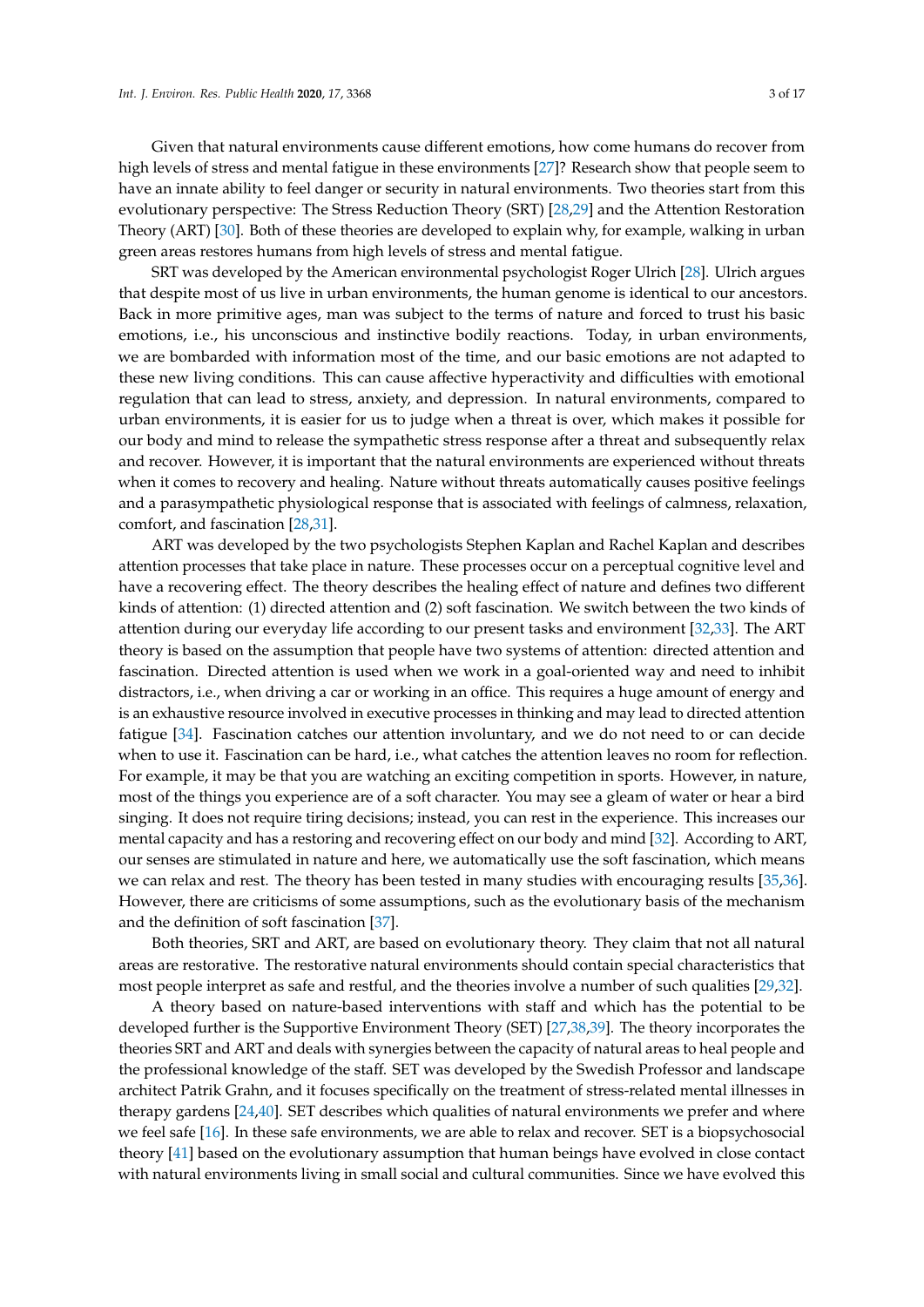Given that natural environments cause different emotions, how come humans do recover from high levels of stress and mental fatigue in these environments [\[27\]](#page-13-7)? Research show that people seem to have an innate ability to feel danger or security in natural environments. Two theories start from this evolutionary perspective: The Stress Reduction Theory (SRT) [\[28](#page-13-8)[,29\]](#page-13-9) and the Attention Restoration Theory (ART) [\[30\]](#page-13-10). Both of these theories are developed to explain why, for example, walking in urban green areas restores humans from high levels of stress and mental fatigue.

SRT was developed by the American environmental psychologist Roger Ulrich [\[28\]](#page-13-8). Ulrich argues that despite most of us live in urban environments, the human genome is identical to our ancestors. Back in more primitive ages, man was subject to the terms of nature and forced to trust his basic emotions, i.e., his unconscious and instinctive bodily reactions. Today, in urban environments, we are bombarded with information most of the time, and our basic emotions are not adapted to these new living conditions. This can cause affective hyperactivity and difficulties with emotional regulation that can lead to stress, anxiety, and depression. In natural environments, compared to urban environments, it is easier for us to judge when a threat is over, which makes it possible for our body and mind to release the sympathetic stress response after a threat and subsequently relax and recover. However, it is important that the natural environments are experienced without threats when it comes to recovery and healing. Nature without threats automatically causes positive feelings and a parasympathetic physiological response that is associated with feelings of calmness, relaxation, comfort, and fascination [\[28,](#page-13-8)[31\]](#page-13-11).

ART was developed by the two psychologists Stephen Kaplan and Rachel Kaplan and describes attention processes that take place in nature. These processes occur on a perceptual cognitive level and have a recovering effect. The theory describes the healing effect of nature and defines two different kinds of attention: (1) directed attention and (2) soft fascination. We switch between the two kinds of attention during our everyday life according to our present tasks and environment [\[32,](#page-13-12)[33\]](#page-13-13). The ART theory is based on the assumption that people have two systems of attention: directed attention and fascination. Directed attention is used when we work in a goal-oriented way and need to inhibit distractors, i.e., when driving a car or working in an office. This requires a huge amount of energy and is an exhaustive resource involved in executive processes in thinking and may lead to directed attention fatigue [\[34\]](#page-13-14). Fascination catches our attention involuntary, and we do not need to or can decide when to use it. Fascination can be hard, i.e., what catches the attention leaves no room for reflection. For example, it may be that you are watching an exciting competition in sports. However, in nature, most of the things you experience are of a soft character. You may see a gleam of water or hear a bird singing. It does not require tiring decisions; instead, you can rest in the experience. This increases our mental capacity and has a restoring and recovering effect on our body and mind [\[32\]](#page-13-12). According to ART, our senses are stimulated in nature and here, we automatically use the soft fascination, which means we can relax and rest. The theory has been tested in many studies with encouraging results [\[35,](#page-13-15)[36\]](#page-13-16). However, there are criticisms of some assumptions, such as the evolutionary basis of the mechanism and the definition of soft fascination [\[37\]](#page-13-17).

Both theories, SRT and ART, are based on evolutionary theory. They claim that not all natural areas are restorative. The restorative natural environments should contain special characteristics that most people interpret as safe and restful, and the theories involve a number of such qualities [\[29,](#page-13-9)[32\]](#page-13-12).

A theory based on nature-based interventions with staff and which has the potential to be developed further is the Supportive Environment Theory (SET) [\[27](#page-13-7)[,38,](#page-13-18)[39\]](#page-13-19). The theory incorporates the theories SRT and ART and deals with synergies between the capacity of natural areas to heal people and the professional knowledge of the staff. SET was developed by the Swedish Professor and landscape architect Patrik Grahn, and it focuses specifically on the treatment of stress-related mental illnesses in therapy gardens [\[24,](#page-13-4)[40\]](#page-14-0). SET describes which qualities of natural environments we prefer and where we feel safe [\[16\]](#page-12-15). In these safe environments, we are able to relax and recover. SET is a biopsychosocial theory [\[41\]](#page-14-1) based on the evolutionary assumption that human beings have evolved in close contact with natural environments living in small social and cultural communities. Since we have evolved this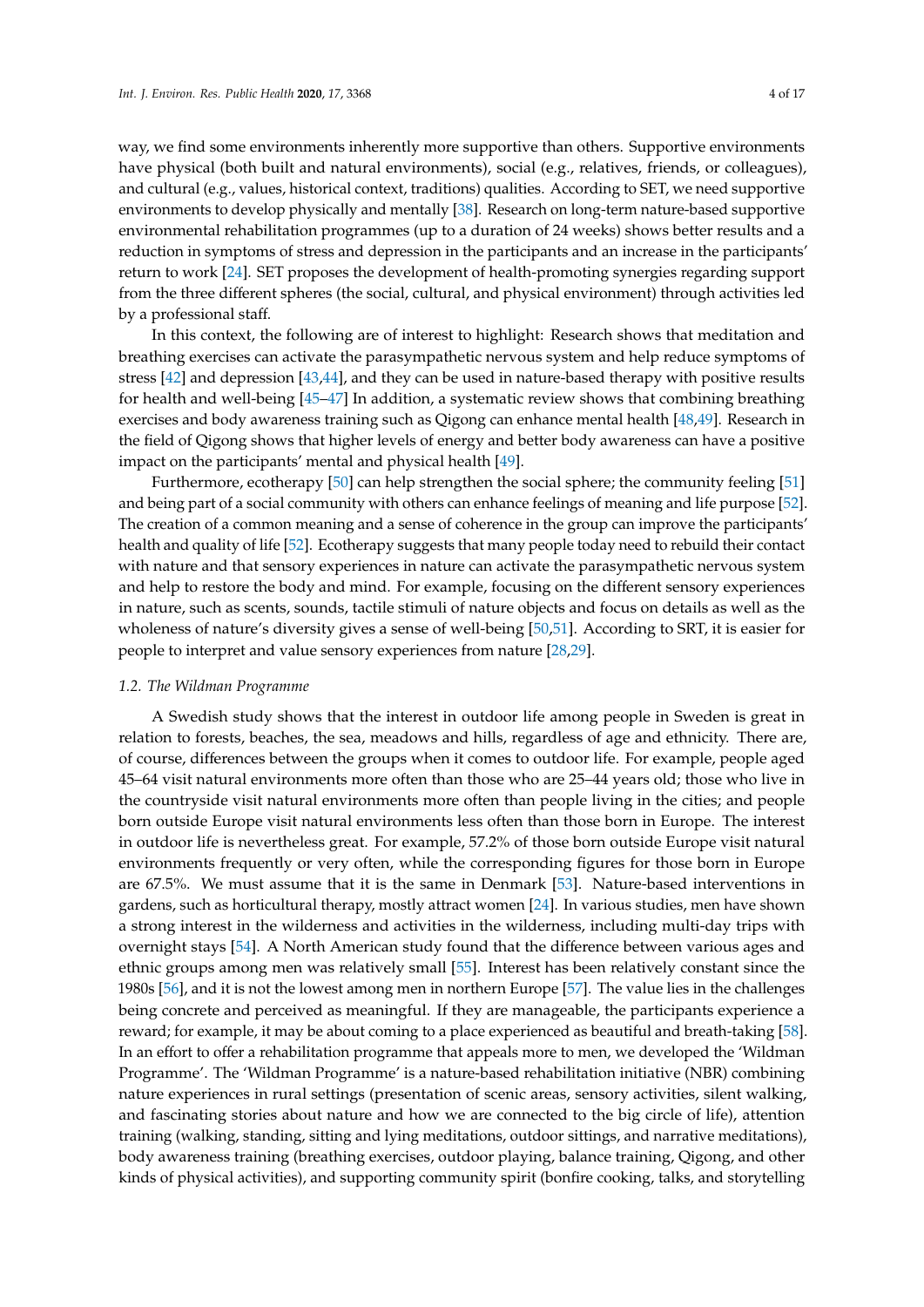way, we find some environments inherently more supportive than others. Supportive environments have physical (both built and natural environments), social (e.g., relatives, friends, or colleagues), and cultural (e.g., values, historical context, traditions) qualities. According to SET, we need supportive environments to develop physically and mentally [\[38\]](#page-13-18). Research on long-term nature-based supportive environmental rehabilitation programmes (up to a duration of 24 weeks) shows better results and a reduction in symptoms of stress and depression in the participants and an increase in the participants' return to work [\[24\]](#page-13-4). SET proposes the development of health-promoting synergies regarding support from the three different spheres (the social, cultural, and physical environment) through activities led by a professional staff.

In this context, the following are of interest to highlight: Research shows that meditation and breathing exercises can activate the parasympathetic nervous system and help reduce symptoms of stress [\[42\]](#page-14-2) and depression [\[43,](#page-14-3)[44\]](#page-14-4), and they can be used in nature-based therapy with positive results for health and well-being [\[45](#page-14-5)[–47\]](#page-14-6) In addition, a systematic review shows that combining breathing exercises and body awareness training such as Qigong can enhance mental health [\[48,](#page-14-7)[49\]](#page-14-8). Research in the field of Qigong shows that higher levels of energy and better body awareness can have a positive impact on the participants' mental and physical health [\[49\]](#page-14-8).

Furthermore, ecotherapy [\[50\]](#page-14-9) can help strengthen the social sphere; the community feeling [\[51\]](#page-14-10) and being part of a social community with others can enhance feelings of meaning and life purpose [\[52\]](#page-14-11). The creation of a common meaning and a sense of coherence in the group can improve the participants' health and quality of life [\[52\]](#page-14-11). Ecotherapy suggests that many people today need to rebuild their contact with nature and that sensory experiences in nature can activate the parasympathetic nervous system and help to restore the body and mind. For example, focusing on the different sensory experiences in nature, such as scents, sounds, tactile stimuli of nature objects and focus on details as well as the wholeness of nature's diversity gives a sense of well-being [\[50](#page-14-9)[,51\]](#page-14-10). According to SRT, it is easier for people to interpret and value sensory experiences from nature [\[28](#page-13-8)[,29\]](#page-13-9).

## *1.2. The Wildman Programme*

A Swedish study shows that the interest in outdoor life among people in Sweden is great in relation to forests, beaches, the sea, meadows and hills, regardless of age and ethnicity. There are, of course, differences between the groups when it comes to outdoor life. For example, people aged 45–64 visit natural environments more often than those who are 25–44 years old; those who live in the countryside visit natural environments more often than people living in the cities; and people born outside Europe visit natural environments less often than those born in Europe. The interest in outdoor life is nevertheless great. For example, 57.2% of those born outside Europe visit natural environments frequently or very often, while the corresponding figures for those born in Europe are 67.5%. We must assume that it is the same in Denmark [\[53\]](#page-14-12). Nature-based interventions in gardens, such as horticultural therapy, mostly attract women [\[24\]](#page-13-4). In various studies, men have shown a strong interest in the wilderness and activities in the wilderness, including multi-day trips with overnight stays [\[54\]](#page-14-13). A North American study found that the difference between various ages and ethnic groups among men was relatively small [\[55\]](#page-14-14). Interest has been relatively constant since the 1980s [\[56\]](#page-14-15), and it is not the lowest among men in northern Europe [\[57\]](#page-14-16). The value lies in the challenges being concrete and perceived as meaningful. If they are manageable, the participants experience a reward; for example, it may be about coming to a place experienced as beautiful and breath-taking [\[58\]](#page-14-17). In an effort to offer a rehabilitation programme that appeals more to men, we developed the 'Wildman Programme'. The 'Wildman Programme' is a nature-based rehabilitation initiative (NBR) combining nature experiences in rural settings (presentation of scenic areas, sensory activities, silent walking, and fascinating stories about nature and how we are connected to the big circle of life), attention training (walking, standing, sitting and lying meditations, outdoor sittings, and narrative meditations), body awareness training (breathing exercises, outdoor playing, balance training, Qigong, and other kinds of physical activities), and supporting community spirit (bonfire cooking, talks, and storytelling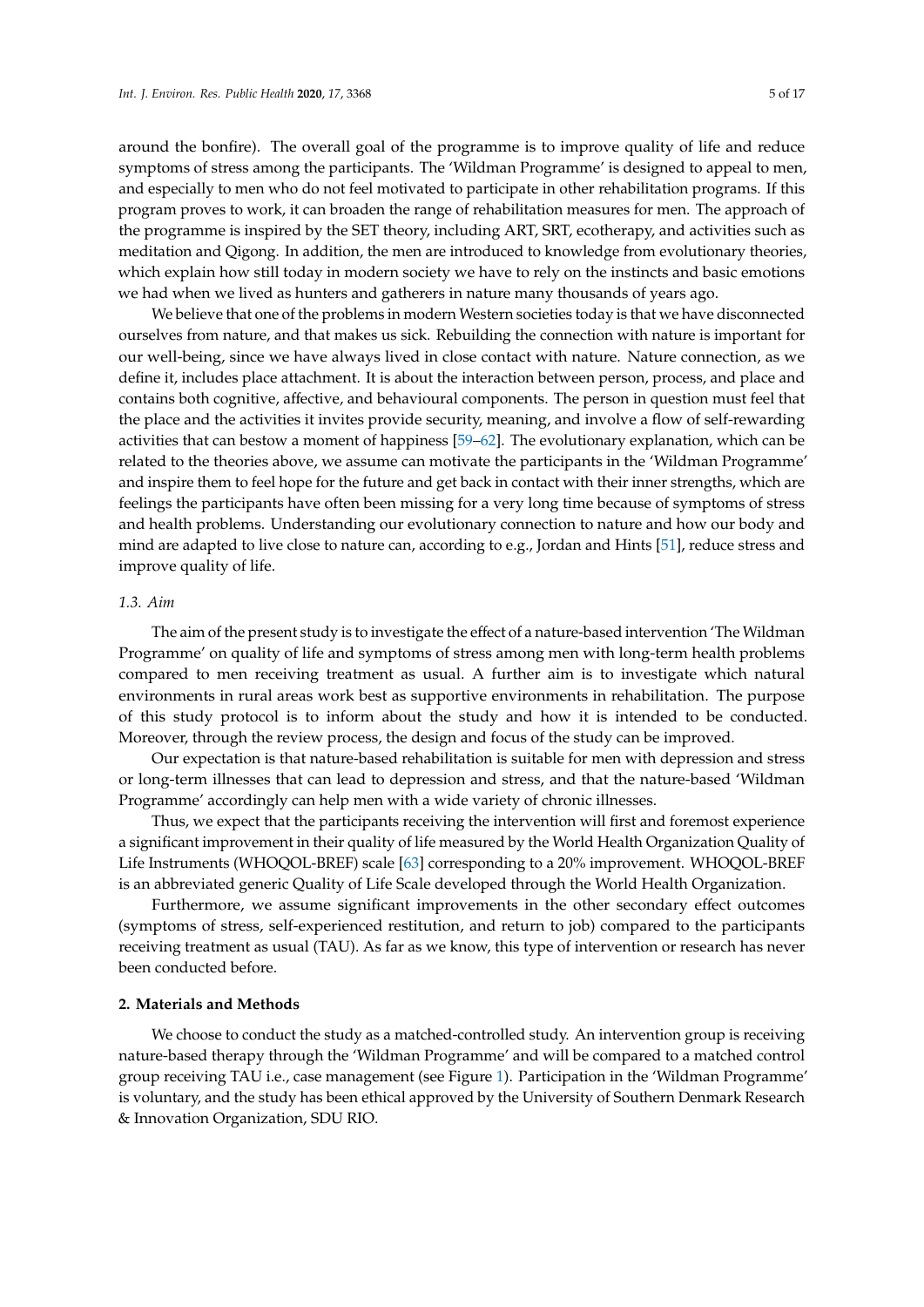around the bonfire). The overall goal of the programme is to improve quality of life and reduce symptoms of stress among the participants. The 'Wildman Programme' is designed to appeal to men, and especially to men who do not feel motivated to participate in other rehabilitation programs. If this program proves to work, it can broaden the range of rehabilitation measures for men. The approach of the programme is inspired by the SET theory, including ART, SRT, ecotherapy, and activities such as meditation and Qigong. In addition, the men are introduced to knowledge from evolutionary theories, which explain how still today in modern society we have to rely on the instincts and basic emotions we had when we lived as hunters and gatherers in nature many thousands of years ago.

We believe that one of the problems in modern Western societies today is that we have disconnected ourselves from nature, and that makes us sick. Rebuilding the connection with nature is important for our well-being, since we have always lived in close contact with nature. Nature connection, as we define it, includes place attachment. It is about the interaction between person, process, and place and contains both cognitive, affective, and behavioural components. The person in question must feel that the place and the activities it invites provide security, meaning, and involve a flow of self-rewarding activities that can bestow a moment of happiness [\[59–](#page-14-18)[62\]](#page-14-19). The evolutionary explanation, which can be related to the theories above, we assume can motivate the participants in the 'Wildman Programme' and inspire them to feel hope for the future and get back in contact with their inner strengths, which are feelings the participants have often been missing for a very long time because of symptoms of stress and health problems. Understanding our evolutionary connection to nature and how our body and mind are adapted to live close to nature can, according to e.g., Jordan and Hints [\[51\]](#page-14-10), reduce stress and improve quality of life.

## *1.3. Aim*

The aim of the present study is to investigate the effect of a nature-based intervention 'The Wildman Programme' on quality of life and symptoms of stress among men with long-term health problems compared to men receiving treatment as usual. A further aim is to investigate which natural environments in rural areas work best as supportive environments in rehabilitation. The purpose of this study protocol is to inform about the study and how it is intended to be conducted. Moreover, through the review process, the design and focus of the study can be improved.

Our expectation is that nature-based rehabilitation is suitable for men with depression and stress or long-term illnesses that can lead to depression and stress, and that the nature-based 'Wildman Programme' accordingly can help men with a wide variety of chronic illnesses.

Thus, we expect that the participants receiving the intervention will first and foremost experience a significant improvement in their quality of life measured by the World Health Organization Quality of Life Instruments (WHOQOL-BREF) scale [\[63\]](#page-14-20) corresponding to a 20% improvement. WHOQOL-BREF is an abbreviated generic Quality of Life Scale developed through the World Health Organization.

Furthermore, we assume significant improvements in the other secondary effect outcomes (symptoms of stress, self-experienced restitution, and return to job) compared to the participants receiving treatment as usual (TAU). As far as we know, this type of intervention or research has never been conducted before.

## **2. Materials and Methods**

We choose to conduct the study as a matched-controlled study. An intervention group is receiving nature-based therapy through the 'Wildman Programme' and will be compared to a matched control group receiving TAU i.e., case management (see Figure [1\)](#page-5-0). Participation in the 'Wildman Programme' is voluntary, and the study has been ethical approved by the University of Southern Denmark Research & Innovation Organization, SDU RIO.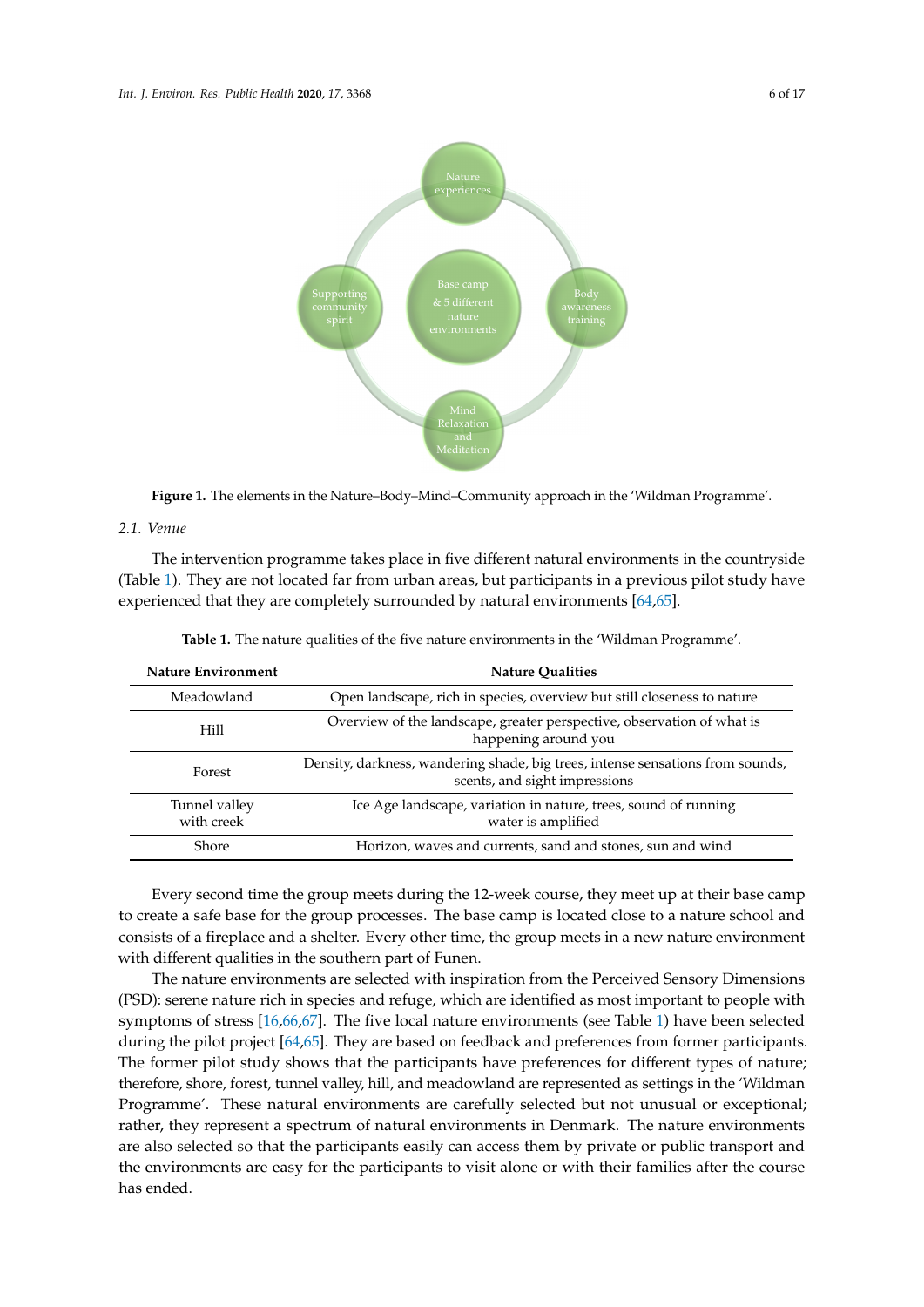<span id="page-5-0"></span>

**Figure 1.** The elements in the Nature–Body–Mind–Community approach in the 'Wildman **Figure 1.** The elements in the Nature–Body–Mind–Community approach in the 'Wildman Programme'.

## 2.1. Venue

The intervention programme takes place in five different natural environments in the countryside (Table [1\)](#page-5-1). They are not located far from urban areas, but participants in a previous pilot study have experienced that they are completely surrounded by natural environments [\[64](#page-14-21)[,65\]](#page-14-22).

| <b>Nature Environment</b>   | <b>Nature Qualities</b>                                                                                         |
|-----------------------------|-----------------------------------------------------------------------------------------------------------------|
| Meadowland                  | Open landscape, rich in species, overview but still closeness to nature                                         |
| Hill                        | Overview of the landscape, greater perspective, observation of what is<br>happening around you                  |
| Forest                      | Density, darkness, wandering shade, big trees, intense sensations from sounds,<br>scents, and sight impressions |
| Tunnel valley<br>with creek | Ice Age landscape, variation in nature, trees, sound of running<br>water is amplified                           |
| Shore                       | Horizon, waves and currents, sand and stones, sun and wind                                                      |

<span id="page-5-1"></span>storytelling, and community spirit. In nature, the participants in the 'Wildman Programme' will **Table 1.** The nature qualities of the five nature environments in the 'Wildman Programme'.

Every second time the group meets during the 12-week course, they meet up at their base camp to create a safe base for the group processes. The base camp is located close to a nature school and consists of a fireplace and a shelter. Every other time, the group meets in a new nature environment with different qualities in the southern part of Funen.

The nature environments are selected with inspiration from the Perceived Sensory Dimensions (PSD): serene nature rich in species and refuge, which are identified as most important to people with symptoms of stress [\[16,](#page-12-15)[66,](#page-15-0)[67\]](#page-15-1). The five local nature environments (see Table [1\)](#page-5-1) have been selected during the pilot project [\[64](#page-14-21)[,65\]](#page-14-22). They are based on feedback and preferences from former participants. The former pilot study shows that the participants have preferences for different types of nature; therefore, shore, forest, tunnel valley, hill, and meadowland are represented as settings in the 'Wildman Programme'. These natural environments are carefully selected but not unusual or exceptional; rather, they represent a spectrum of natural environments in Denmark. The nature environments are also selected so that the participants easily can access them by private or public transport and the environments are easy for the participants to visit alone or with their families after the course has ended.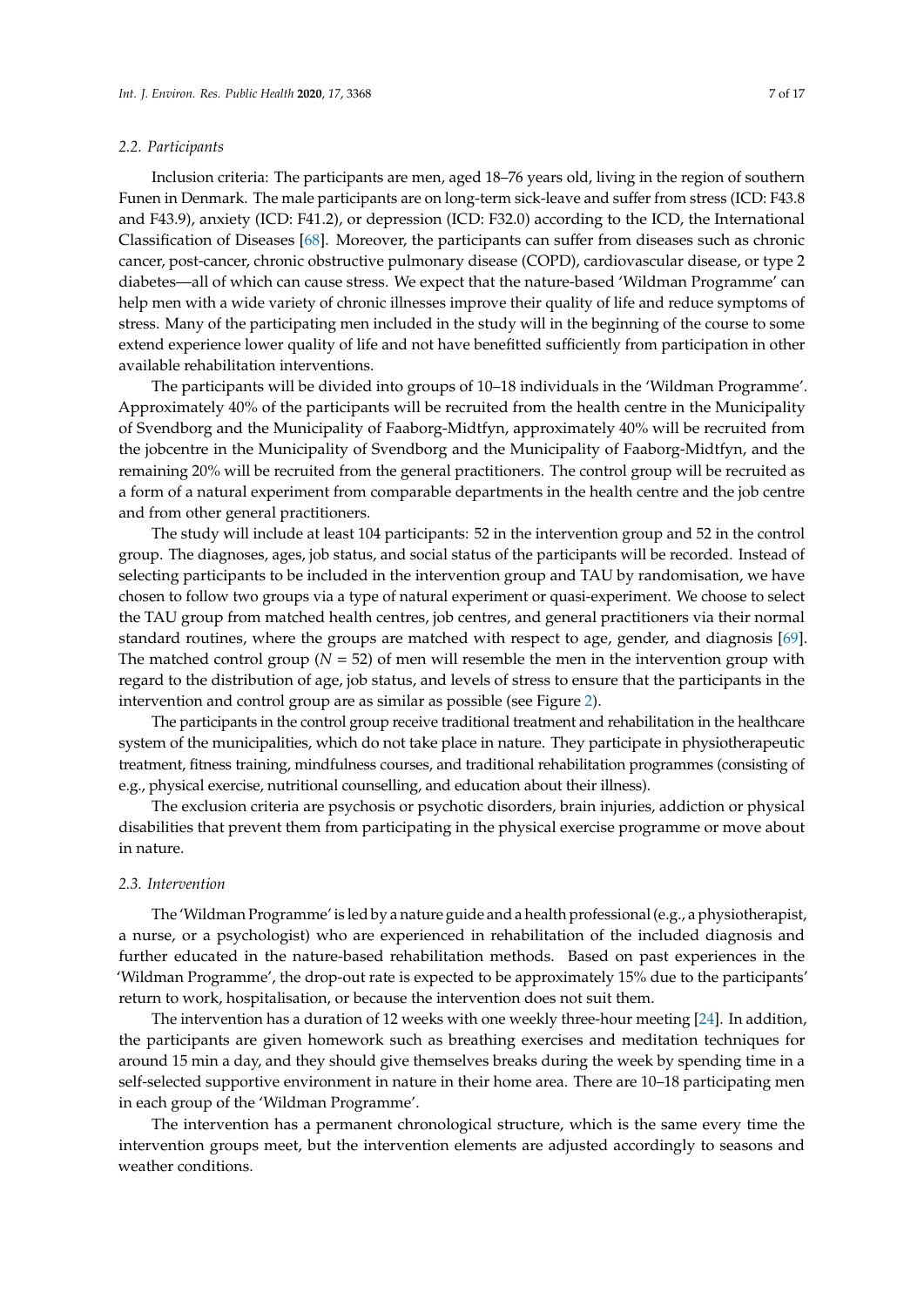## *2.2. Participants*

Inclusion criteria: The participants are men, aged 18–76 years old, living in the region of southern Funen in Denmark. The male participants are on long-term sick-leave and suffer from stress (ICD: F43.8 and F43.9), anxiety (ICD: F41.2), or depression (ICD: F32.0) according to the ICD, the International Classification of Diseases [\[68\]](#page-15-2). Moreover, the participants can suffer from diseases such as chronic cancer, post-cancer, chronic obstructive pulmonary disease (COPD), cardiovascular disease, or type 2 diabetes—all of which can cause stress. We expect that the nature-based 'Wildman Programme' can help men with a wide variety of chronic illnesses improve their quality of life and reduce symptoms of stress. Many of the participating men included in the study will in the beginning of the course to some extend experience lower quality of life and not have benefitted sufficiently from participation in other available rehabilitation interventions.

The participants will be divided into groups of 10–18 individuals in the 'Wildman Programme'. Approximately 40% of the participants will be recruited from the health centre in the Municipality of Svendborg and the Municipality of Faaborg-Midtfyn, approximately 40% will be recruited from the jobcentre in the Municipality of Svendborg and the Municipality of Faaborg-Midtfyn, and the remaining 20% will be recruited from the general practitioners. The control group will be recruited as a form of a natural experiment from comparable departments in the health centre and the job centre and from other general practitioners.

The study will include at least 104 participants: 52 in the intervention group and 52 in the control group. The diagnoses, ages, job status, and social status of the participants will be recorded. Instead of selecting participants to be included in the intervention group and TAU by randomisation, we have chosen to follow two groups via a type of natural experiment or quasi-experiment. We choose to select the TAU group from matched health centres, job centres, and general practitioners via their normal standard routines, where the groups are matched with respect to age, gender, and diagnosis [\[69\]](#page-15-3). The matched control group  $(N = 52)$  of men will resemble the men in the intervention group with regard to the distribution of age, job status, and levels of stress to ensure that the participants in the intervention and control group are as similar as possible (see Figure [2\)](#page-7-0).

The participants in the control group receive traditional treatment and rehabilitation in the healthcare system of the municipalities, which do not take place in nature. They participate in physiotherapeutic treatment, fitness training, mindfulness courses, and traditional rehabilitation programmes (consisting of e.g., physical exercise, nutritional counselling, and education about their illness).

The exclusion criteria are psychosis or psychotic disorders, brain injuries, addiction or physical disabilities that prevent them from participating in the physical exercise programme or move about in nature.

## *2.3. Intervention*

The 'Wildman Programme' is led by a nature guide and a health professional (e.g., a physiotherapist, a nurse, or a psychologist) who are experienced in rehabilitation of the included diagnosis and further educated in the nature-based rehabilitation methods. Based on past experiences in the 'Wildman Programme', the drop-out rate is expected to be approximately 15% due to the participants' return to work, hospitalisation, or because the intervention does not suit them.

The intervention has a duration of 12 weeks with one weekly three-hour meeting [\[24\]](#page-13-4). In addition, the participants are given homework such as breathing exercises and meditation techniques for around 15 min a day, and they should give themselves breaks during the week by spending time in a self-selected supportive environment in nature in their home area. There are 10–18 participating men in each group of the 'Wildman Programme'.

The intervention has a permanent chronological structure, which is the same every time the intervention groups meet, but the intervention elements are adjusted accordingly to seasons and weather conditions.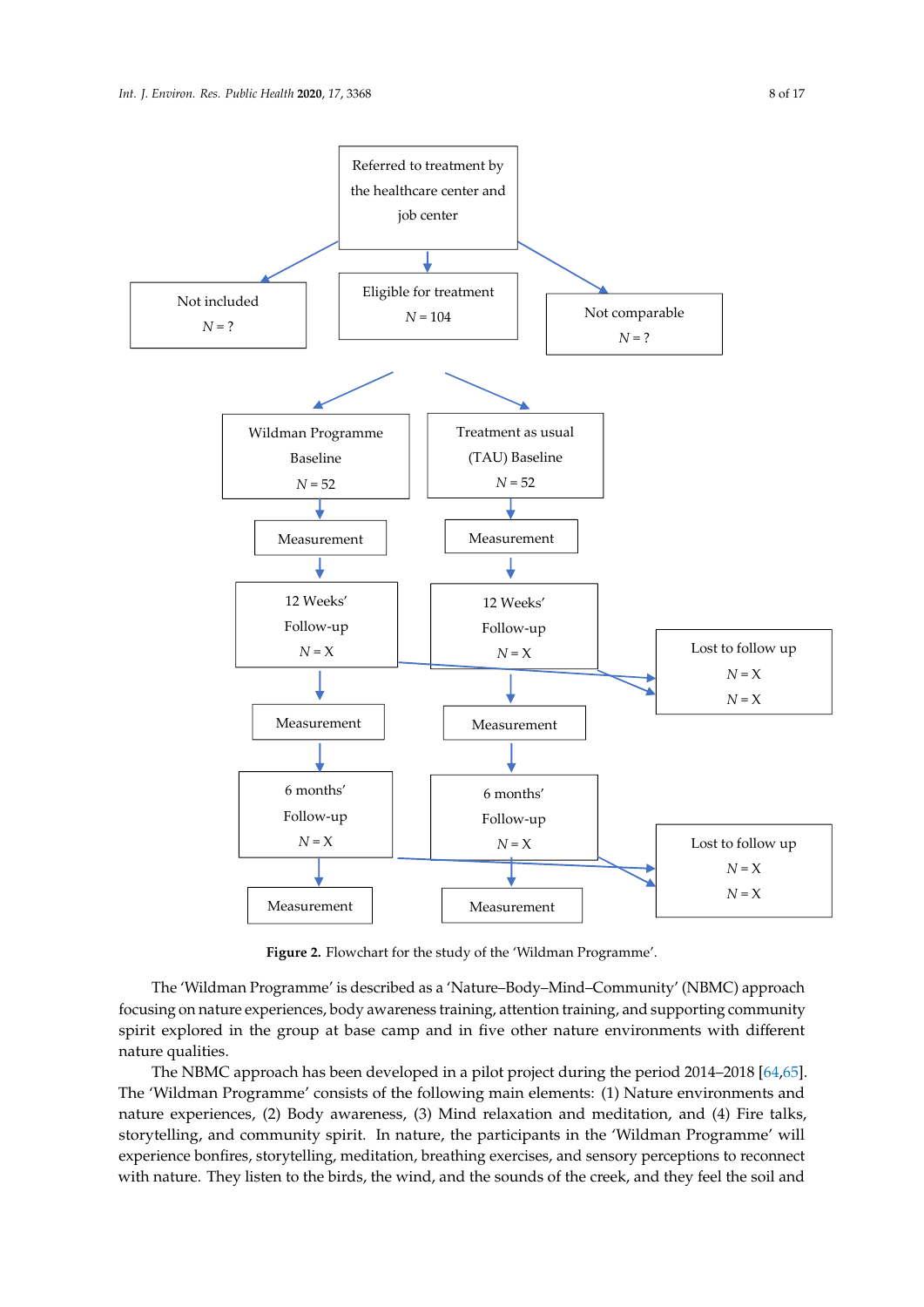<span id="page-7-0"></span>

**Figure 2.** Flowchart for the study of the 'Wildman Programme'.

The 'Wildman Programme' is described as a 'Nature–Body–Mind–Community' (NBMC) approach focusing on nature experiences, body awareness training, attention training, and supporting community spirit explored in the group at base camp and in five other nature environments with different nature qualities.

The NBMC approach has been developed in a pilot project during the period 2014–2018 [\[64,](#page-14-21)[65\]](#page-14-22). The 'Wildman Programme' consists of the following main elements: (1) Nature environments and nature experiences, (2) Body awareness, (3) Mind relaxation and meditation, and (4) Fire talks, storytelling, and community spirit. In nature, the participants in the 'Wildman Programme' will experience bonfires, storytelling, meditation, breathing exercises, and sensory perceptions to reconnect with nature. They listen to the birds, the wind, and the sounds of the creek, and they feel the soil and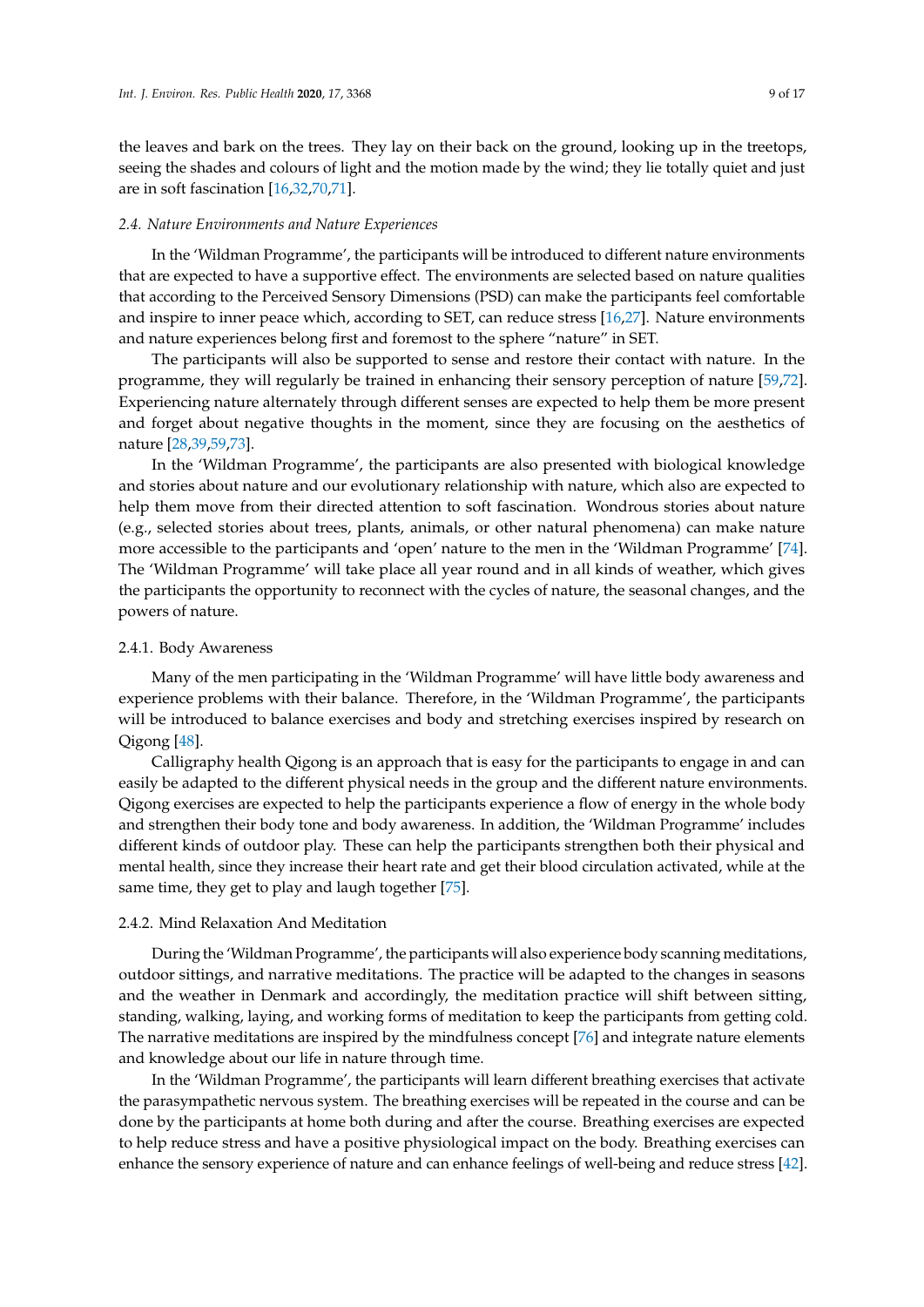the leaves and bark on the trees. They lay on their back on the ground, looking up in the treetops, seeing the shades and colours of light and the motion made by the wind; they lie totally quiet and just are in soft fascination [\[16,](#page-12-15)[32,](#page-13-12)[70,](#page-15-4)[71\]](#page-15-5).

## *2.4. Nature Environments and Nature Experiences*

In the 'Wildman Programme', the participants will be introduced to different nature environments that are expected to have a supportive effect. The environments are selected based on nature qualities that according to the Perceived Sensory Dimensions (PSD) can make the participants feel comfortable and inspire to inner peace which, according to SET, can reduce stress [\[16](#page-12-15)[,27\]](#page-13-7). Nature environments and nature experiences belong first and foremost to the sphere "nature" in SET.

The participants will also be supported to sense and restore their contact with nature. In the programme, they will regularly be trained in enhancing their sensory perception of nature [\[59,](#page-14-18)[72\]](#page-15-6). Experiencing nature alternately through different senses are expected to help them be more present and forget about negative thoughts in the moment, since they are focusing on the aesthetics of nature [\[28](#page-13-8)[,39](#page-13-19)[,59](#page-14-18)[,73\]](#page-15-7).

In the 'Wildman Programme', the participants are also presented with biological knowledge and stories about nature and our evolutionary relationship with nature, which also are expected to help them move from their directed attention to soft fascination. Wondrous stories about nature (e.g., selected stories about trees, plants, animals, or other natural phenomena) can make nature more accessible to the participants and 'open' nature to the men in the 'Wildman Programme' [\[74\]](#page-15-8). The 'Wildman Programme' will take place all year round and in all kinds of weather, which gives the participants the opportunity to reconnect with the cycles of nature, the seasonal changes, and the powers of nature.

## 2.4.1. Body Awareness

Many of the men participating in the 'Wildman Programme' will have little body awareness and experience problems with their balance. Therefore, in the 'Wildman Programme', the participants will be introduced to balance exercises and body and stretching exercises inspired by research on Qigong [\[48\]](#page-14-7).

Calligraphy health Qigong is an approach that is easy for the participants to engage in and can easily be adapted to the different physical needs in the group and the different nature environments. Qigong exercises are expected to help the participants experience a flow of energy in the whole body and strengthen their body tone and body awareness. In addition, the 'Wildman Programme' includes different kinds of outdoor play. These can help the participants strengthen both their physical and mental health, since they increase their heart rate and get their blood circulation activated, while at the same time, they get to play and laugh together [\[75\]](#page-15-9).

## 2.4.2. Mind Relaxation And Meditation

During the 'Wildman Programme', the participants will also experience body scanning meditations, outdoor sittings, and narrative meditations. The practice will be adapted to the changes in seasons and the weather in Denmark and accordingly, the meditation practice will shift between sitting, standing, walking, laying, and working forms of meditation to keep the participants from getting cold. The narrative meditations are inspired by the mindfulness concept [\[76\]](#page-15-10) and integrate nature elements and knowledge about our life in nature through time.

In the 'Wildman Programme', the participants will learn different breathing exercises that activate the parasympathetic nervous system. The breathing exercises will be repeated in the course and can be done by the participants at home both during and after the course. Breathing exercises are expected to help reduce stress and have a positive physiological impact on the body. Breathing exercises can enhance the sensory experience of nature and can enhance feelings of well-being and reduce stress [\[42\]](#page-14-2).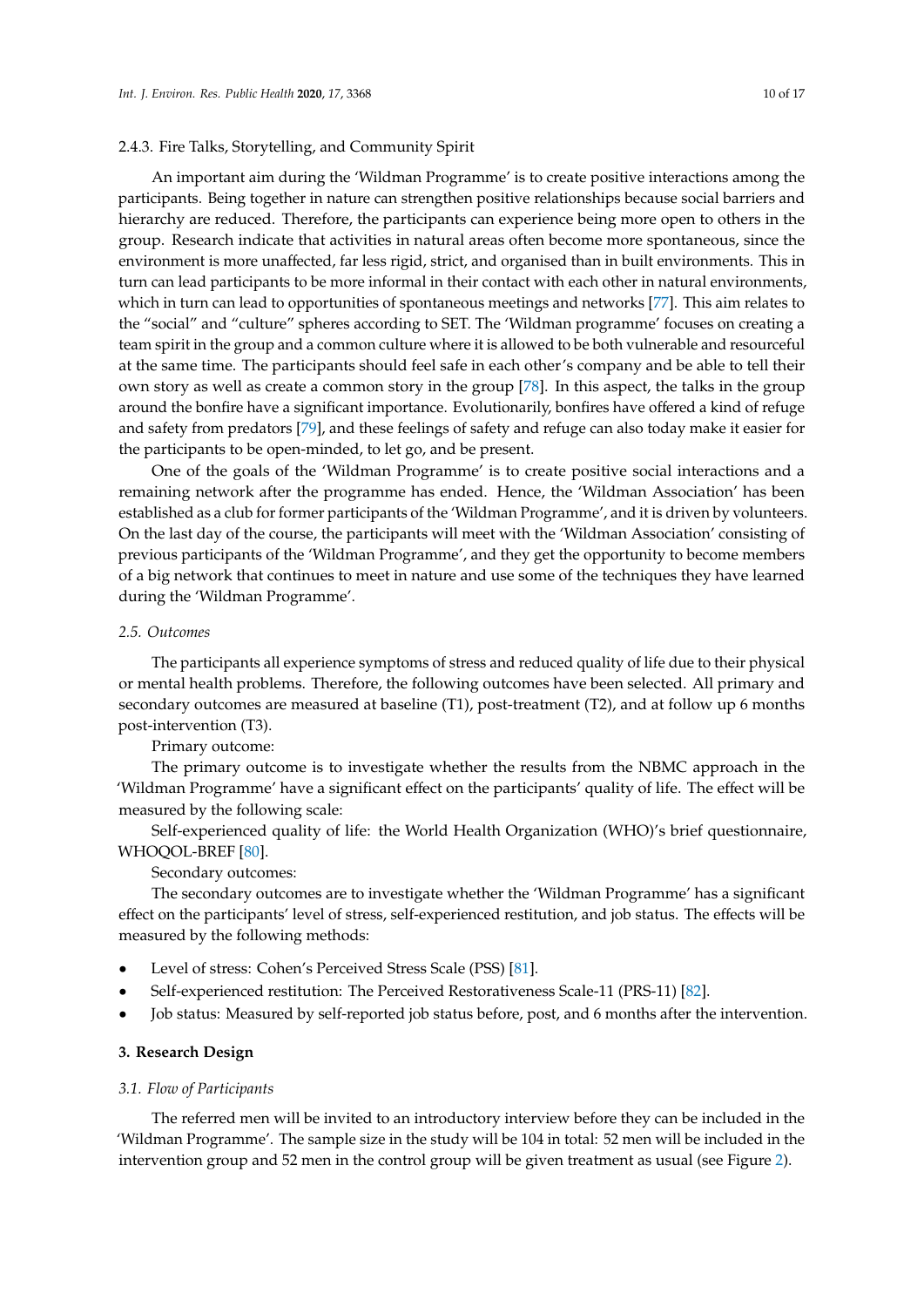## 2.4.3. Fire Talks, Storytelling, and Community Spirit

An important aim during the 'Wildman Programme' is to create positive interactions among the participants. Being together in nature can strengthen positive relationships because social barriers and hierarchy are reduced. Therefore, the participants can experience being more open to others in the group. Research indicate that activities in natural areas often become more spontaneous, since the environment is more unaffected, far less rigid, strict, and organised than in built environments. This in turn can lead participants to be more informal in their contact with each other in natural environments, which in turn can lead to opportunities of spontaneous meetings and networks [\[77\]](#page-15-11). This aim relates to the "social" and "culture" spheres according to SET. The 'Wildman programme' focuses on creating a team spirit in the group and a common culture where it is allowed to be both vulnerable and resourceful at the same time. The participants should feel safe in each other's company and be able to tell their own story as well as create a common story in the group [\[78\]](#page-15-12). In this aspect, the talks in the group around the bonfire have a significant importance. Evolutionarily, bonfires have offered a kind of refuge and safety from predators [\[79\]](#page-15-13), and these feelings of safety and refuge can also today make it easier for the participants to be open-minded, to let go, and be present.

One of the goals of the 'Wildman Programme' is to create positive social interactions and a remaining network after the programme has ended. Hence, the 'Wildman Association' has been established as a club for former participants of the 'Wildman Programme', and it is driven by volunteers. On the last day of the course, the participants will meet with the 'Wildman Association' consisting of previous participants of the 'Wildman Programme', and they get the opportunity to become members of a big network that continues to meet in nature and use some of the techniques they have learned during the 'Wildman Programme'.

## *2.5. Outcomes*

The participants all experience symptoms of stress and reduced quality of life due to their physical or mental health problems. Therefore, the following outcomes have been selected. All primary and secondary outcomes are measured at baseline (T1), post-treatment (T2), and at follow up 6 months post-intervention (T3).

Primary outcome:

The primary outcome is to investigate whether the results from the NBMC approach in the 'Wildman Programme' have a significant effect on the participants' quality of life. The effect will be measured by the following scale:

Self-experienced quality of life: the World Health Organization (WHO)'s brief questionnaire, WHOQOL-BREF [\[80\]](#page-15-14).

Secondary outcomes:

The secondary outcomes are to investigate whether the 'Wildman Programme' has a significant effect on the participants' level of stress, self-experienced restitution, and job status. The effects will be measured by the following methods:

- Level of stress: Cohen's Perceived Stress Scale (PSS) [\[81\]](#page-15-15).
- Self-experienced restitution: The Perceived Restorativeness Scale-11 (PRS-11) [\[82\]](#page-15-16).
- Job status: Measured by self-reported job status before, post, and 6 months after the intervention.

#### **3. Research Design**

## *3.1. Flow of Participants*

The referred men will be invited to an introductory interview before they can be included in the 'Wildman Programme'. The sample size in the study will be 104 in total: 52 men will be included in the intervention group and 52 men in the control group will be given treatment as usual (see Figure [2\)](#page-7-0).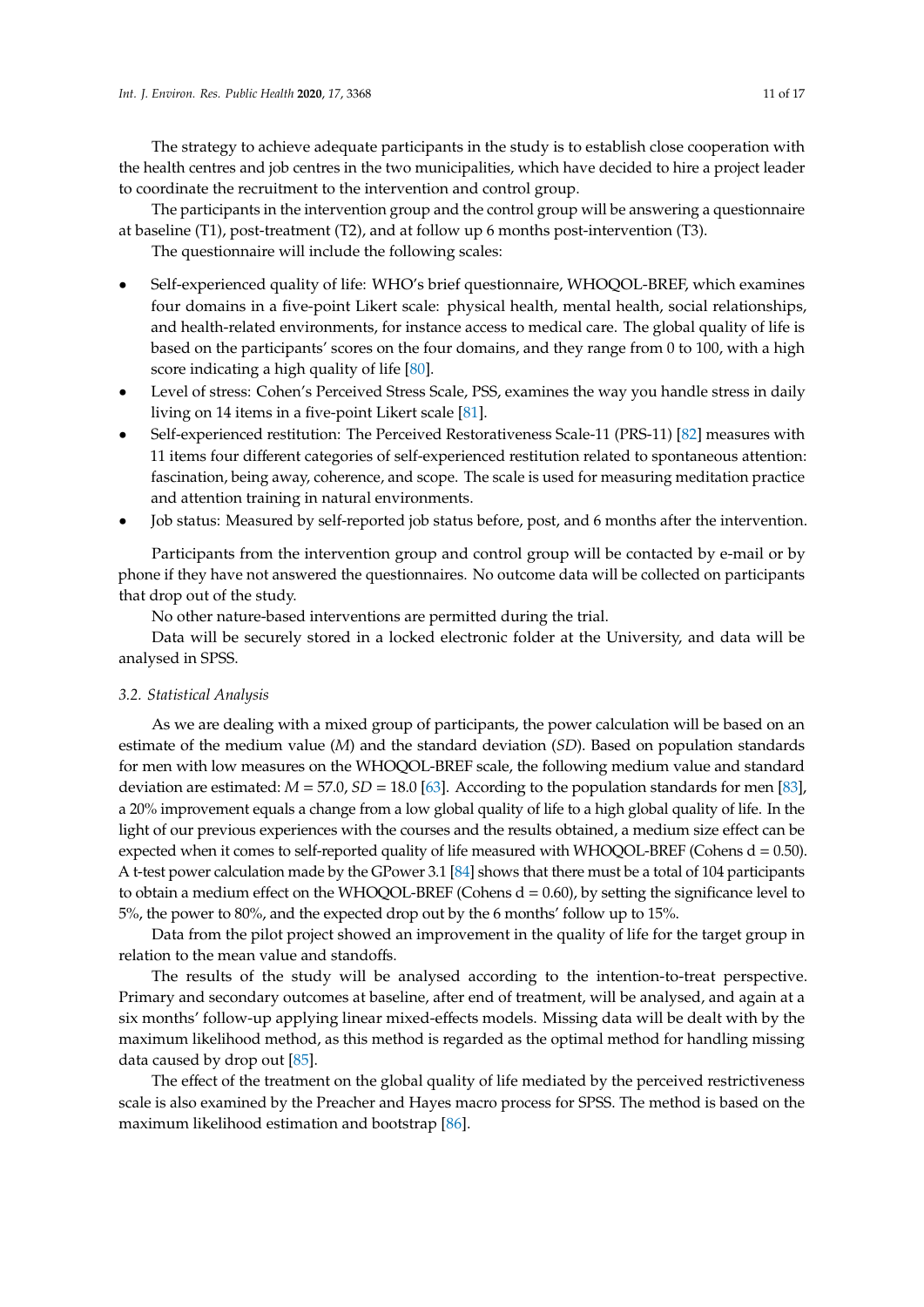The strategy to achieve adequate participants in the study is to establish close cooperation with the health centres and job centres in the two municipalities, which have decided to hire a project leader to coordinate the recruitment to the intervention and control group.

The participants in the intervention group and the control group will be answering a questionnaire at baseline (T1), post-treatment (T2), and at follow up 6 months post-intervention (T3).

The questionnaire will include the following scales:

- Self-experienced quality of life: WHO's brief questionnaire, WHOQOL-BREF, which examines four domains in a five-point Likert scale: physical health, mental health, social relationships, and health-related environments, for instance access to medical care. The global quality of life is based on the participants' scores on the four domains, and they range from 0 to 100, with a high score indicating a high quality of life [\[80\]](#page-15-14).
- Level of stress: Cohen's Perceived Stress Scale, PSS, examines the way you handle stress in daily living on 14 items in a five-point Likert scale [\[81\]](#page-15-15).
- Self-experienced restitution: The Perceived Restorativeness Scale-11 (PRS-11) [\[82\]](#page-15-16) measures with 11 items four different categories of self-experienced restitution related to spontaneous attention: fascination, being away, coherence, and scope. The scale is used for measuring meditation practice and attention training in natural environments.
- Job status: Measured by self-reported job status before, post, and 6 months after the intervention.

Participants from the intervention group and control group will be contacted by e-mail or by phone if they have not answered the questionnaires. No outcome data will be collected on participants that drop out of the study.

No other nature-based interventions are permitted during the trial.

Data will be securely stored in a locked electronic folder at the University, and data will be analysed in SPSS.

#### *3.2. Statistical Analysis*

As we are dealing with a mixed group of participants, the power calculation will be based on an estimate of the medium value (*M*) and the standard deviation (*SD*). Based on population standards for men with low measures on the WHOQOL-BREF scale, the following medium value and standard deviation are estimated: *M* = 57.0, *SD* = 18.0 [\[63\]](#page-14-20). According to the population standards for men [\[83\]](#page-15-17), a 20% improvement equals a change from a low global quality of life to a high global quality of life. In the light of our previous experiences with the courses and the results obtained, a medium size effect can be expected when it comes to self-reported quality of life measured with WHOQOL-BREF (Cohens  $d = 0.50$ ). A t-test power calculation made by the GPower 3.1 [\[84\]](#page-15-18) shows that there must be a total of 104 participants to obtain a medium effect on the WHOQOL-BREF (Cohens  $d = 0.60$ ), by setting the significance level to 5%, the power to 80%, and the expected drop out by the 6 months' follow up to 15%.

Data from the pilot project showed an improvement in the quality of life for the target group in relation to the mean value and standoffs.

The results of the study will be analysed according to the intention-to-treat perspective. Primary and secondary outcomes at baseline, after end of treatment, will be analysed, and again at a six months' follow-up applying linear mixed-effects models. Missing data will be dealt with by the maximum likelihood method, as this method is regarded as the optimal method for handling missing data caused by drop out [\[85\]](#page-15-19).

The effect of the treatment on the global quality of life mediated by the perceived restrictiveness scale is also examined by the Preacher and Hayes macro process for SPSS. The method is based on the maximum likelihood estimation and bootstrap [\[86\]](#page-15-20).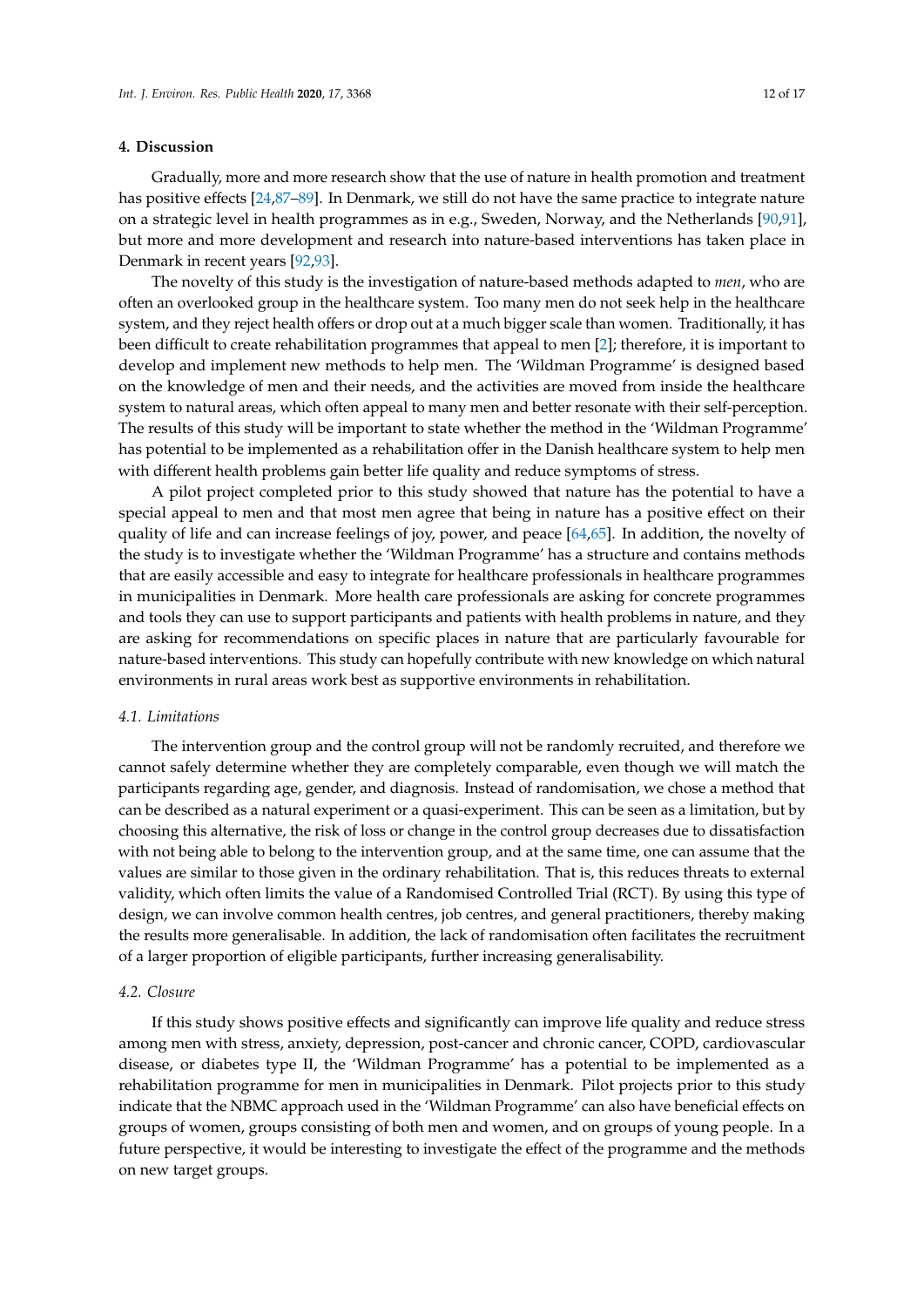## **4. Discussion**

Gradually, more and more research show that the use of nature in health promotion and treatment has positive effects [\[24](#page-13-4)[,87](#page-15-21)[–89\]](#page-16-0). In Denmark, we still do not have the same practice to integrate nature on a strategic level in health programmes as in e.g., Sweden, Norway, and the Netherlands [\[90,](#page-16-1)[91\]](#page-16-2), but more and more development and research into nature-based interventions has taken place in Denmark in recent years [\[92,](#page-16-3)[93\]](#page-16-4).

The novelty of this study is the investigation of nature-based methods adapted to *men*, who are often an overlooked group in the healthcare system. Too many men do not seek help in the healthcare system, and they reject health offers or drop out at a much bigger scale than women. Traditionally, it has been difficult to create rehabilitation programmes that appeal to men [\[2\]](#page-12-1); therefore, it is important to develop and implement new methods to help men. The 'Wildman Programme' is designed based on the knowledge of men and their needs, and the activities are moved from inside the healthcare system to natural areas, which often appeal to many men and better resonate with their self-perception. The results of this study will be important to state whether the method in the 'Wildman Programme' has potential to be implemented as a rehabilitation offer in the Danish healthcare system to help men with different health problems gain better life quality and reduce symptoms of stress.

A pilot project completed prior to this study showed that nature has the potential to have a special appeal to men and that most men agree that being in nature has a positive effect on their quality of life and can increase feelings of joy, power, and peace [\[64](#page-14-21)[,65\]](#page-14-22). In addition, the novelty of the study is to investigate whether the 'Wildman Programme' has a structure and contains methods that are easily accessible and easy to integrate for healthcare professionals in healthcare programmes in municipalities in Denmark. More health care professionals are asking for concrete programmes and tools they can use to support participants and patients with health problems in nature, and they are asking for recommendations on specific places in nature that are particularly favourable for nature-based interventions. This study can hopefully contribute with new knowledge on which natural environments in rural areas work best as supportive environments in rehabilitation.

## *4.1. Limitations*

The intervention group and the control group will not be randomly recruited, and therefore we cannot safely determine whether they are completely comparable, even though we will match the participants regarding age, gender, and diagnosis. Instead of randomisation, we chose a method that can be described as a natural experiment or a quasi-experiment. This can be seen as a limitation, but by choosing this alternative, the risk of loss or change in the control group decreases due to dissatisfaction with not being able to belong to the intervention group, and at the same time, one can assume that the values are similar to those given in the ordinary rehabilitation. That is, this reduces threats to external validity, which often limits the value of a Randomised Controlled Trial (RCT). By using this type of design, we can involve common health centres, job centres, and general practitioners, thereby making the results more generalisable. In addition, the lack of randomisation often facilitates the recruitment of a larger proportion of eligible participants, further increasing generalisability.

## *4.2. Closure*

If this study shows positive effects and significantly can improve life quality and reduce stress among men with stress, anxiety, depression, post-cancer and chronic cancer, COPD, cardiovascular disease, or diabetes type II, the 'Wildman Programme' has a potential to be implemented as a rehabilitation programme for men in municipalities in Denmark. Pilot projects prior to this study indicate that the NBMC approach used in the 'Wildman Programme' can also have beneficial effects on groups of women, groups consisting of both men and women, and on groups of young people. In a future perspective, it would be interesting to investigate the effect of the programme and the methods on new target groups.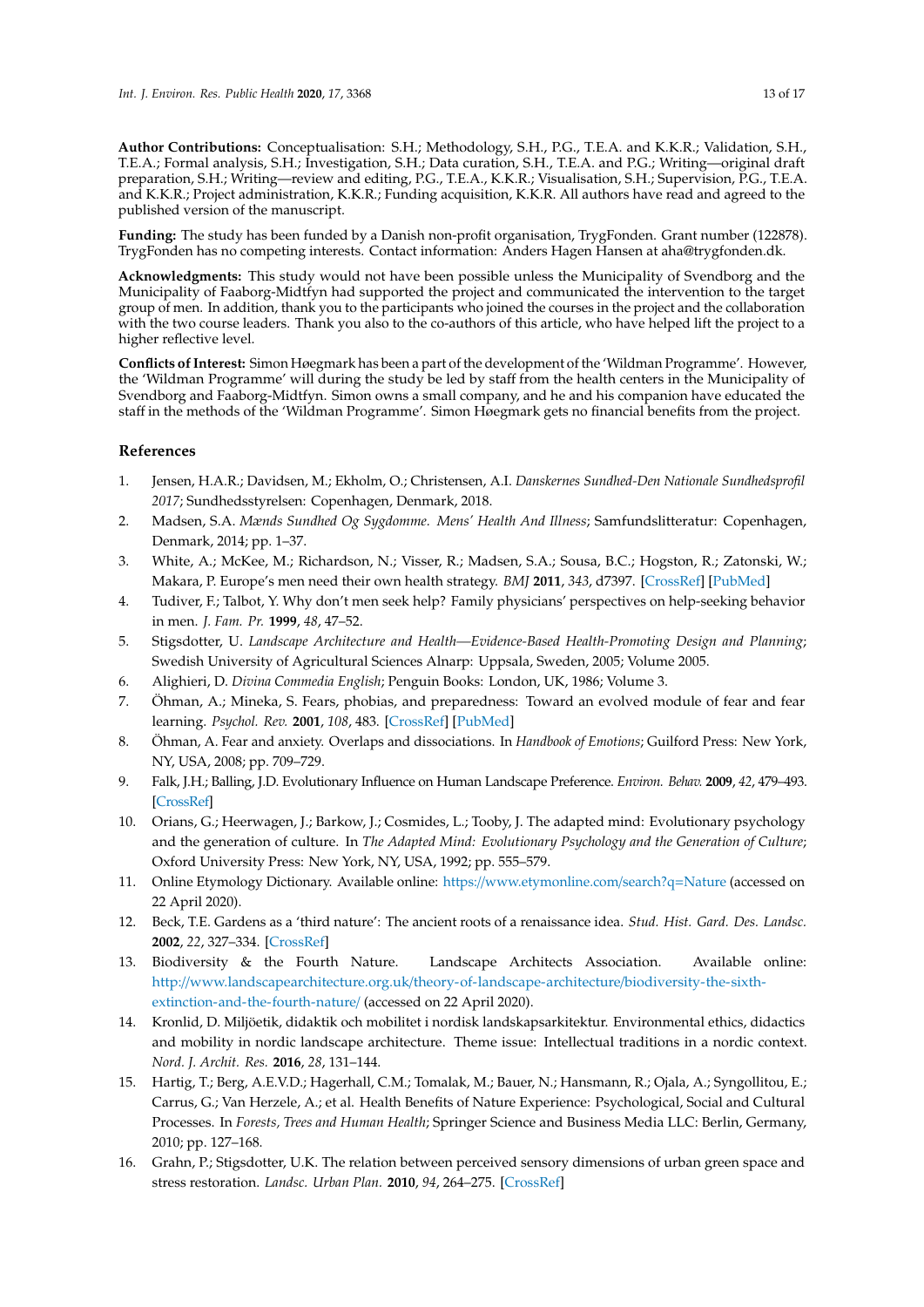**Author Contributions:** Conceptualisation: S.H.; Methodology, S.H., P.G., T.E.A. and K.K.R.; Validation, S.H., T.E.A.; Formal analysis, S.H.; Investigation, S.H.; Data curation, S.H., T.E.A. and P.G.; Writing—original draft preparation, S.H.; Writing—review and editing, P.G., T.E.A., K.K.R.; Visualisation, S.H.; Supervision, P.G., T.E.A. and K.K.R.; Project administration, K.K.R.; Funding acquisition, K.K.R. All authors have read and agreed to the published version of the manuscript.

**Funding:** The study has been funded by a Danish non-profit organisation, TrygFonden. Grant number (122878). TrygFonden has no competing interests. Contact information: Anders Hagen Hansen at aha@trygfonden.dk.

**Acknowledgments:** This study would not have been possible unless the Municipality of Svendborg and the Municipality of Faaborg-Midtfyn had supported the project and communicated the intervention to the target group of men. In addition, thank you to the participants who joined the courses in the project and the collaboration with the two course leaders. Thank you also to the co-authors of this article, who have helped lift the project to a higher reflective level.

**Conflicts of Interest:** Simon Høegmark has been a part of the development of the 'Wildman Programme'. However, the 'Wildman Programme' will during the study be led by staff from the health centers in the Municipality of Svendborg and Faaborg-Midtfyn. Simon owns a small company, and he and his companion have educated the staff in the methods of the 'Wildman Programme'. Simon Høegmark gets no financial benefits from the project.

## **References**

- <span id="page-12-0"></span>1. Jensen, H.A.R.; Davidsen, M.; Ekholm, O.; Christensen, A.I. *Danskernes Sundhed-Den Nationale Sundhedsprofil 2017*; Sundhedsstyrelsen: Copenhagen, Denmark, 2018.
- <span id="page-12-1"></span>2. Madsen, S.A. *Mænds Sundhed Og Sygdomme. Mens' Health And Illness*; Samfundslitteratur: Copenhagen, Denmark, 2014; pp. 1–37.
- <span id="page-12-2"></span>3. White, A.; McKee, M.; Richardson, N.; Visser, R.; Madsen, S.A.; Sousa, B.C.; Hogston, R.; Zatonski, W.; Makara, P. Europe's men need their own health strategy. *BMJ* **2011**, *343*, d7397. [\[CrossRef\]](http://dx.doi.org/10.1136/bmj.d7397) [\[PubMed\]](http://www.ncbi.nlm.nih.gov/pubmed/22127516)
- <span id="page-12-3"></span>4. Tudiver, F.; Talbot, Y. Why don't men seek help? Family physicians' perspectives on help-seeking behavior in men. *J. Fam. Pr.* **1999**, *48*, 47–52.
- <span id="page-12-4"></span>5. Stigsdotter, U. *Landscape Architecture and Health—Evidence-Based Health-Promoting Design and Planning*; Swedish University of Agricultural Sciences Alnarp: Uppsala, Sweden, 2005; Volume 2005.
- <span id="page-12-5"></span>6. Alighieri, D. *Divina Commedia English*; Penguin Books: London, UK, 1986; Volume 3.
- <span id="page-12-6"></span>7. Öhman, A.; Mineka, S. Fears, phobias, and preparedness: Toward an evolved module of fear and fear learning. *Psychol. Rev.* **2001**, *108*, 483. [\[CrossRef\]](http://dx.doi.org/10.1037/0033-295X.108.3.483) [\[PubMed\]](http://www.ncbi.nlm.nih.gov/pubmed/11488376)
- <span id="page-12-7"></span>8. Öhman, A. Fear and anxiety. Overlaps and dissociations. In *Handbook of Emotions*; Guilford Press: New York, NY, USA, 2008; pp. 709–729.
- <span id="page-12-8"></span>9. Falk, J.H.; Balling, J.D. Evolutionary Influence on Human Landscape Preference. *Environ. Behav.* **2009**, *42*, 479–493. [\[CrossRef\]](http://dx.doi.org/10.1177/0013916509341244)
- <span id="page-12-9"></span>10. Orians, G.; Heerwagen, J.; Barkow, J.; Cosmides, L.; Tooby, J. The adapted mind: Evolutionary psychology and the generation of culture. In *The Adapted Mind: Evolutionary Psychology and the Generation of Culture*; Oxford University Press: New York, NY, USA, 1992; pp. 555–579.
- <span id="page-12-10"></span>11. Online Etymology Dictionary. Available online: https://[www.etymonline.com](https://www.etymonline.com/search?q=Nature)/search?q=Nature (accessed on 22 April 2020).
- <span id="page-12-11"></span>12. Beck, T.E. Gardens as a 'third nature': The ancient roots of a renaissance idea. *Stud. Hist. Gard. Des. Landsc.* **2002**, *22*, 327–334. [\[CrossRef\]](http://dx.doi.org/10.1080/14601176.2002.10435275)
- <span id="page-12-12"></span>13. Biodiversity & the Fourth Nature. Landscape Architects Association. Available online: http://[www.landscapearchitecture.org.uk](http://www.landscapearchitecture.org.uk/theory-of-landscape-architecture/biodiversity-the-sixth-extinction-and-the-fourth-nature/)/theory-of-landscape-architecture/biodiversity-the-sixth[extinction-and-the-fourth-nature](http://www.landscapearchitecture.org.uk/theory-of-landscape-architecture/biodiversity-the-sixth-extinction-and-the-fourth-nature/)/ (accessed on 22 April 2020).
- <span id="page-12-13"></span>14. Kronlid, D. Miljöetik, didaktik och mobilitet i nordisk landskapsarkitektur. Environmental ethics, didactics and mobility in nordic landscape architecture. Theme issue: Intellectual traditions in a nordic context. *Nord. J. Archit. Res.* **2016**, *28*, 131–144.
- <span id="page-12-14"></span>15. Hartig, T.; Berg, A.E.V.D.; Hagerhall, C.M.; Tomalak, M.; Bauer, N.; Hansmann, R.; Ojala, A.; Syngollitou, E.; Carrus, G.; Van Herzele, A.; et al. Health Benefits of Nature Experience: Psychological, Social and Cultural Processes. In *Forests, Trees and Human Health*; Springer Science and Business Media LLC: Berlin, Germany, 2010; pp. 127–168.
- <span id="page-12-15"></span>16. Grahn, P.; Stigsdotter, U.K. The relation between perceived sensory dimensions of urban green space and stress restoration. *Landsc. Urban Plan.* **2010**, *94*, 264–275. [\[CrossRef\]](http://dx.doi.org/10.1016/j.landurbplan.2009.10.012)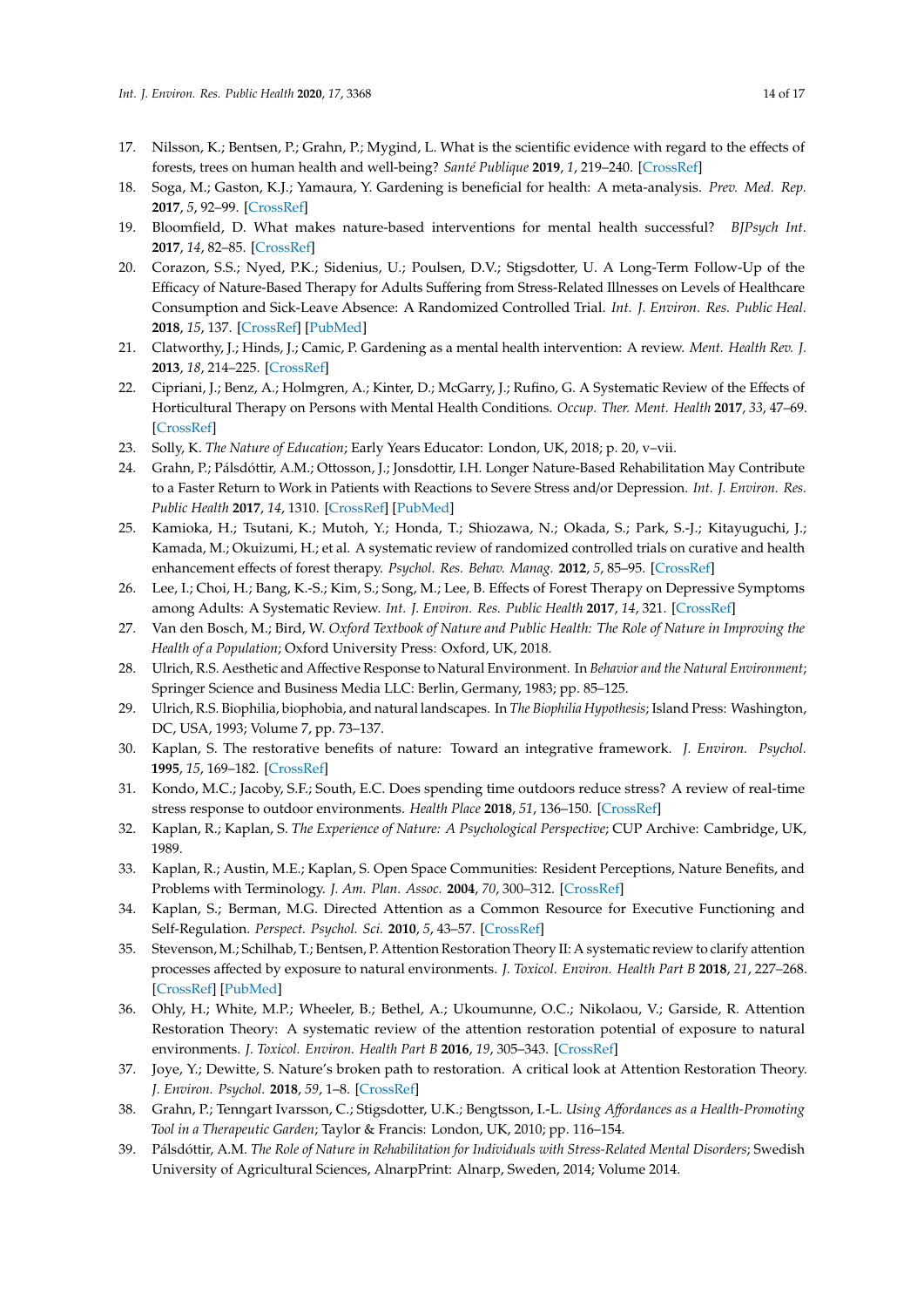- <span id="page-13-0"></span>17. Nilsson, K.; Bentsen, P.; Grahn, P.; Mygind, L. What is the scientific evidence with regard to the effects of forests, trees on human health and well-being? *Santé Publique* **2019**, *1*, 219–240. [\[CrossRef\]](http://dx.doi.org/10.3917/spub.190.0219)
- <span id="page-13-1"></span>18. Soga, M.; Gaston, K.J.; Yamaura, Y. Gardening is beneficial for health: A meta-analysis. *Prev. Med. Rep.* **2017**, *5*, 92–99. [\[CrossRef\]](http://dx.doi.org/10.1016/j.pmedr.2016.11.007)
- 19. Bloomfield, D. What makes nature-based interventions for mental health successful? *BJPsych Int.* **2017**, *14*, 82–85. [\[CrossRef\]](http://dx.doi.org/10.1192/S2056474000002063)
- 20. Corazon, S.S.; Nyed, P.K.; Sidenius, U.; Poulsen, D.V.; Stigsdotter, U. A Long-Term Follow-Up of the Efficacy of Nature-Based Therapy for Adults Suffering from Stress-Related Illnesses on Levels of Healthcare Consumption and Sick-Leave Absence: A Randomized Controlled Trial. *Int. J. Environ. Res. Public Heal.* **2018**, *15*, 137. [\[CrossRef\]](http://dx.doi.org/10.3390/ijerph15010137) [\[PubMed\]](http://www.ncbi.nlm.nih.gov/pubmed/29342952)
- 21. Clatworthy, J.; Hinds, J.; Camic, P. Gardening as a mental health intervention: A review. *Ment. Health Rev. J.* **2013**, *18*, 214–225. [\[CrossRef\]](http://dx.doi.org/10.1108/MHRJ-02-2013-0007)
- <span id="page-13-2"></span>22. Cipriani, J.; Benz, A.; Holmgren, A.; Kinter, D.; McGarry, J.; Rufino, G. A Systematic Review of the Effects of Horticultural Therapy on Persons with Mental Health Conditions. *Occup. Ther. Ment. Health* **2017**, *33*, 47–69. [\[CrossRef\]](http://dx.doi.org/10.1080/0164212X.2016.1231602)
- <span id="page-13-3"></span>23. Solly, K. *The Nature of Education*; Early Years Educator: London, UK, 2018; p. 20, v–vii.
- <span id="page-13-4"></span>24. Grahn, P.; Pálsdóttir, A.M.; Ottosson, J.; Jonsdottir, I.H. Longer Nature-Based Rehabilitation May Contribute to a Faster Return to Work in Patients with Reactions to Severe Stress and/or Depression. *Int. J. Environ. Res. Public Health* **2017**, *14*, 1310. [\[CrossRef\]](http://dx.doi.org/10.3390/ijerph14111310) [\[PubMed\]](http://www.ncbi.nlm.nih.gov/pubmed/29076997)
- <span id="page-13-5"></span>25. Kamioka, H.; Tsutani, K.; Mutoh, Y.; Honda, T.; Shiozawa, N.; Okada, S.; Park, S.-J.; Kitayuguchi, J.; Kamada, M.; Okuizumi, H.; et al. A systematic review of randomized controlled trials on curative and health enhancement effects of forest therapy. *Psychol. Res. Behav. Manag.* **2012**, *5*, 85–95. [\[CrossRef\]](http://dx.doi.org/10.2147/PRBM.S32402)
- <span id="page-13-6"></span>26. Lee, I.; Choi, H.; Bang, K.-S.; Kim, S.; Song, M.; Lee, B. Effects of Forest Therapy on Depressive Symptoms among Adults: A Systematic Review. *Int. J. Environ. Res. Public Health* **2017**, *14*, 321. [\[CrossRef\]](http://dx.doi.org/10.3390/ijerph14030321)
- <span id="page-13-7"></span>27. Van den Bosch, M.; Bird, W. *Oxford Textbook of Nature and Public Health: The Role of Nature in Improving the Health of a Population*; Oxford University Press: Oxford, UK, 2018.
- <span id="page-13-8"></span>28. Ulrich, R.S. Aesthetic and Affective Response to Natural Environment. In *Behavior and the Natural Environment*; Springer Science and Business Media LLC: Berlin, Germany, 1983; pp. 85–125.
- <span id="page-13-9"></span>29. Ulrich, R.S. Biophilia, biophobia, and natural landscapes. In *The Biophilia Hypothesis*; Island Press: Washington, DC, USA, 1993; Volume 7, pp. 73–137.
- <span id="page-13-10"></span>30. Kaplan, S. The restorative benefits of nature: Toward an integrative framework. *J. Environ. Psychol.* **1995**, *15*, 169–182. [\[CrossRef\]](http://dx.doi.org/10.1016/0272-4944(95)90001-2)
- <span id="page-13-11"></span>31. Kondo, M.C.; Jacoby, S.F.; South, E.C. Does spending time outdoors reduce stress? A review of real-time stress response to outdoor environments. *Health Place* **2018**, *51*, 136–150. [\[CrossRef\]](http://dx.doi.org/10.1016/j.healthplace.2018.03.001)
- <span id="page-13-12"></span>32. Kaplan, R.; Kaplan, S. *The Experience of Nature: A Psychological Perspective*; CUP Archive: Cambridge, UK, 1989.
- <span id="page-13-13"></span>33. Kaplan, R.; Austin, M.E.; Kaplan, S. Open Space Communities: Resident Perceptions, Nature Benefits, and Problems with Terminology. *J. Am. Plan. Assoc.* **2004**, *70*, 300–312. [\[CrossRef\]](http://dx.doi.org/10.1080/01944360408976380)
- <span id="page-13-14"></span>34. Kaplan, S.; Berman, M.G. Directed Attention as a Common Resource for Executive Functioning and Self-Regulation. *Perspect. Psychol. Sci.* **2010**, *5*, 43–57. [\[CrossRef\]](http://dx.doi.org/10.1177/1745691609356784)
- <span id="page-13-15"></span>35. Stevenson, M.; Schilhab, T.; Bentsen, P. Attention Restoration Theory II: A systematic review to clarify attention processes affected by exposure to natural environments. *J. Toxicol. Environ. Health Part B* **2018**, *21*, 227–268. [\[CrossRef\]](http://dx.doi.org/10.1080/10937404.2018.1505571) [\[PubMed\]](http://www.ncbi.nlm.nih.gov/pubmed/30130463)
- <span id="page-13-16"></span>36. Ohly, H.; White, M.P.; Wheeler, B.; Bethel, A.; Ukoumunne, O.C.; Nikolaou, V.; Garside, R. Attention Restoration Theory: A systematic review of the attention restoration potential of exposure to natural environments. *J. Toxicol. Environ. Health Part B* **2016**, *19*, 305–343. [\[CrossRef\]](http://dx.doi.org/10.1080/10937404.2016.1196155)
- <span id="page-13-17"></span>37. Joye, Y.; Dewitte, S. Nature's broken path to restoration. A critical look at Attention Restoration Theory. *J. Environ. Psychol.* **2018**, *59*, 1–8. [\[CrossRef\]](http://dx.doi.org/10.1016/j.jenvp.2018.08.006)
- <span id="page-13-18"></span>38. Grahn, P.; Tenngart Ivarsson, C.; Stigsdotter, U.K.; Bengtsson, I.-L. *Using A*ff*ordances as a Health-Promoting Tool in a Therapeutic Garden*; Taylor & Francis: London, UK, 2010; pp. 116–154.
- <span id="page-13-19"></span>39. Pálsdóttir, A.M. *The Role of Nature in Rehabilitation for Individuals with Stress-Related Mental Disorders*; Swedish University of Agricultural Sciences, AlnarpPrint: Alnarp, Sweden, 2014; Volume 2014.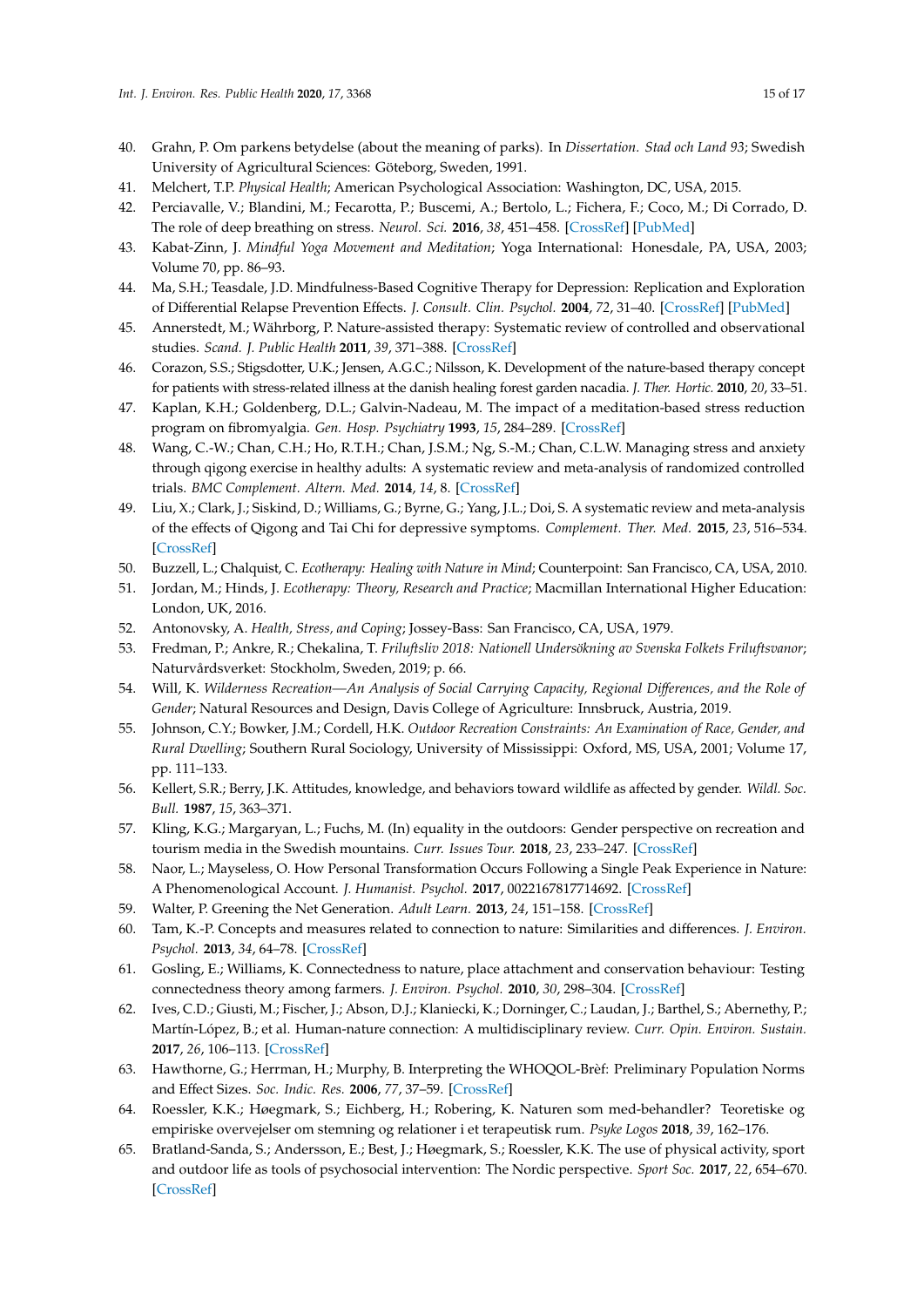- <span id="page-14-0"></span>40. Grahn, P. Om parkens betydelse (about the meaning of parks). In *Dissertation. Stad och Land 93*; Swedish University of Agricultural Sciences: Göteborg, Sweden, 1991.
- <span id="page-14-1"></span>41. Melchert, T.P. *Physical Health*; American Psychological Association: Washington, DC, USA, 2015.
- <span id="page-14-2"></span>42. Perciavalle, V.; Blandini, M.; Fecarotta, P.; Buscemi, A.; Bertolo, L.; Fichera, F.; Coco, M.; Di Corrado, D. The role of deep breathing on stress. *Neurol. Sci.* **2016**, *38*, 451–458. [\[CrossRef\]](http://dx.doi.org/10.1007/s10072-016-2790-8) [\[PubMed\]](http://www.ncbi.nlm.nih.gov/pubmed/27995346)
- <span id="page-14-3"></span>43. Kabat-Zinn, J. *Mindful Yoga Movement and Meditation*; Yoga International: Honesdale, PA, USA, 2003; Volume 70, pp. 86–93.
- <span id="page-14-4"></span>44. Ma, S.H.; Teasdale, J.D. Mindfulness-Based Cognitive Therapy for Depression: Replication and Exploration of Differential Relapse Prevention Effects. *J. Consult. Clin. Psychol.* **2004**, *72*, 31–40. [\[CrossRef\]](http://dx.doi.org/10.1037/0022-006X.72.1.31) [\[PubMed\]](http://www.ncbi.nlm.nih.gov/pubmed/14756612)
- <span id="page-14-5"></span>45. Annerstedt, M.; Währborg, P. Nature-assisted therapy: Systematic review of controlled and observational studies. *Scand. J. Public Health* **2011**, *39*, 371–388. [\[CrossRef\]](http://dx.doi.org/10.1177/1403494810396400)
- 46. Corazon, S.S.; Stigsdotter, U.K.; Jensen, A.G.C.; Nilsson, K. Development of the nature-based therapy concept for patients with stress-related illness at the danish healing forest garden nacadia. *J. Ther. Hortic.* **2010**, *20*, 33–51.
- <span id="page-14-6"></span>47. Kaplan, K.H.; Goldenberg, D.L.; Galvin-Nadeau, M. The impact of a meditation-based stress reduction program on fibromyalgia. *Gen. Hosp. Psychiatry* **1993**, *15*, 284–289. [\[CrossRef\]](http://dx.doi.org/10.1016/0163-8343(93)90020-O)
- <span id="page-14-7"></span>48. Wang, C.-W.; Chan, C.H.; Ho, R.T.H.; Chan, J.S.M.; Ng, S.-M.; Chan, C.L.W. Managing stress and anxiety through qigong exercise in healthy adults: A systematic review and meta-analysis of randomized controlled trials. *BMC Complement. Altern. Med.* **2014**, *14*, 8. [\[CrossRef\]](http://dx.doi.org/10.1186/1472-6882-14-8)
- <span id="page-14-8"></span>49. Liu, X.; Clark, J.; Siskind, D.; Williams, G.; Byrne, G.; Yang, J.L.; Doi, S. A systematic review and meta-analysis of the effects of Qigong and Tai Chi for depressive symptoms. *Complement. Ther. Med.* **2015**, *23*, 516–534. [\[CrossRef\]](http://dx.doi.org/10.1016/j.ctim.2015.05.001)
- <span id="page-14-9"></span>50. Buzzell, L.; Chalquist, C. *Ecotherapy: Healing with Nature in Mind*; Counterpoint: San Francisco, CA, USA, 2010.
- <span id="page-14-10"></span>51. Jordan, M.; Hinds, J. *Ecotherapy: Theory, Research and Practice*; Macmillan International Higher Education: London, UK, 2016.
- <span id="page-14-11"></span>52. Antonovsky, A. *Health, Stress, and Coping*; Jossey-Bass: San Francisco, CA, USA, 1979.
- <span id="page-14-12"></span>53. Fredman, P.; Ankre, R.; Chekalina, T. *Friluftsliv 2018: Nationell Undersökning av Svenska Folkets Friluftsvanor*; Naturvårdsverket: Stockholm, Sweden, 2019; p. 66.
- <span id="page-14-13"></span>54. Will, K. *Wilderness Recreation—An Analysis of Social Carrying Capacity, Regional Di*ff*erences, and the Role of Gender*; Natural Resources and Design, Davis College of Agriculture: Innsbruck, Austria, 2019.
- <span id="page-14-14"></span>55. Johnson, C.Y.; Bowker, J.M.; Cordell, H.K. *Outdoor Recreation Constraints: An Examination of Race, Gender, and Rural Dwelling*; Southern Rural Sociology, University of Mississippi: Oxford, MS, USA, 2001; Volume 17, pp. 111–133.
- <span id="page-14-15"></span>56. Kellert, S.R.; Berry, J.K. Attitudes, knowledge, and behaviors toward wildlife as affected by gender. *Wildl. Soc. Bull.* **1987**, *15*, 363–371.
- <span id="page-14-16"></span>57. Kling, K.G.; Margaryan, L.; Fuchs, M. (In) equality in the outdoors: Gender perspective on recreation and tourism media in the Swedish mountains. *Curr. Issues Tour.* **2018**, *23*, 233–247. [\[CrossRef\]](http://dx.doi.org/10.1080/13683500.2018.1495698)
- <span id="page-14-17"></span>58. Naor, L.; Mayseless, O. How Personal Transformation Occurs Following a Single Peak Experience in Nature: A Phenomenological Account. *J. Humanist. Psychol.* **2017**, 0022167817714692. [\[CrossRef\]](http://dx.doi.org/10.1177/0022167817714692)
- <span id="page-14-18"></span>59. Walter, P. Greening the Net Generation. *Adult Learn.* **2013**, *24*, 151–158. [\[CrossRef\]](http://dx.doi.org/10.1177/1045159513499551)
- 60. Tam, K.-P. Concepts and measures related to connection to nature: Similarities and differences. *J. Environ. Psychol.* **2013**, *34*, 64–78. [\[CrossRef\]](http://dx.doi.org/10.1016/j.jenvp.2013.01.004)
- 61. Gosling, E.; Williams, K. Connectedness to nature, place attachment and conservation behaviour: Testing connectedness theory among farmers. *J. Environ. Psychol.* **2010**, *30*, 298–304. [\[CrossRef\]](http://dx.doi.org/10.1016/j.jenvp.2010.01.005)
- <span id="page-14-19"></span>62. Ives, C.D.; Giusti, M.; Fischer, J.; Abson, D.J.; Klaniecki, K.; Dorninger, C.; Laudan, J.; Barthel, S.; Abernethy, P.; Martín-López, B.; et al. Human-nature connection: A multidisciplinary review. *Curr. Opin. Environ. Sustain.* **2017**, *26*, 106–113. [\[CrossRef\]](http://dx.doi.org/10.1016/j.cosust.2017.05.005)
- <span id="page-14-20"></span>63. Hawthorne, G.; Herrman, H.; Murphy, B. Interpreting the WHOQOL-Brèf: Preliminary Population Norms and Effect Sizes. *Soc. Indic. Res.* **2006**, *77*, 37–59. [\[CrossRef\]](http://dx.doi.org/10.1007/s11205-005-5552-1)
- <span id="page-14-21"></span>64. Roessler, K.K.; Høegmark, S.; Eichberg, H.; Robering, K. Naturen som med-behandler? Teoretiske og empiriske overvejelser om stemning og relationer i et terapeutisk rum. *Psyke Logos* **2018**, *39*, 162–176.
- <span id="page-14-22"></span>65. Bratland-Sanda, S.; Andersson, E.; Best, J.; Høegmark, S.; Roessler, K.K. The use of physical activity, sport and outdoor life as tools of psychosocial intervention: The Nordic perspective. *Sport Soc.* **2017**, *22*, 654–670. [\[CrossRef\]](http://dx.doi.org/10.1080/17430437.2017.1389037)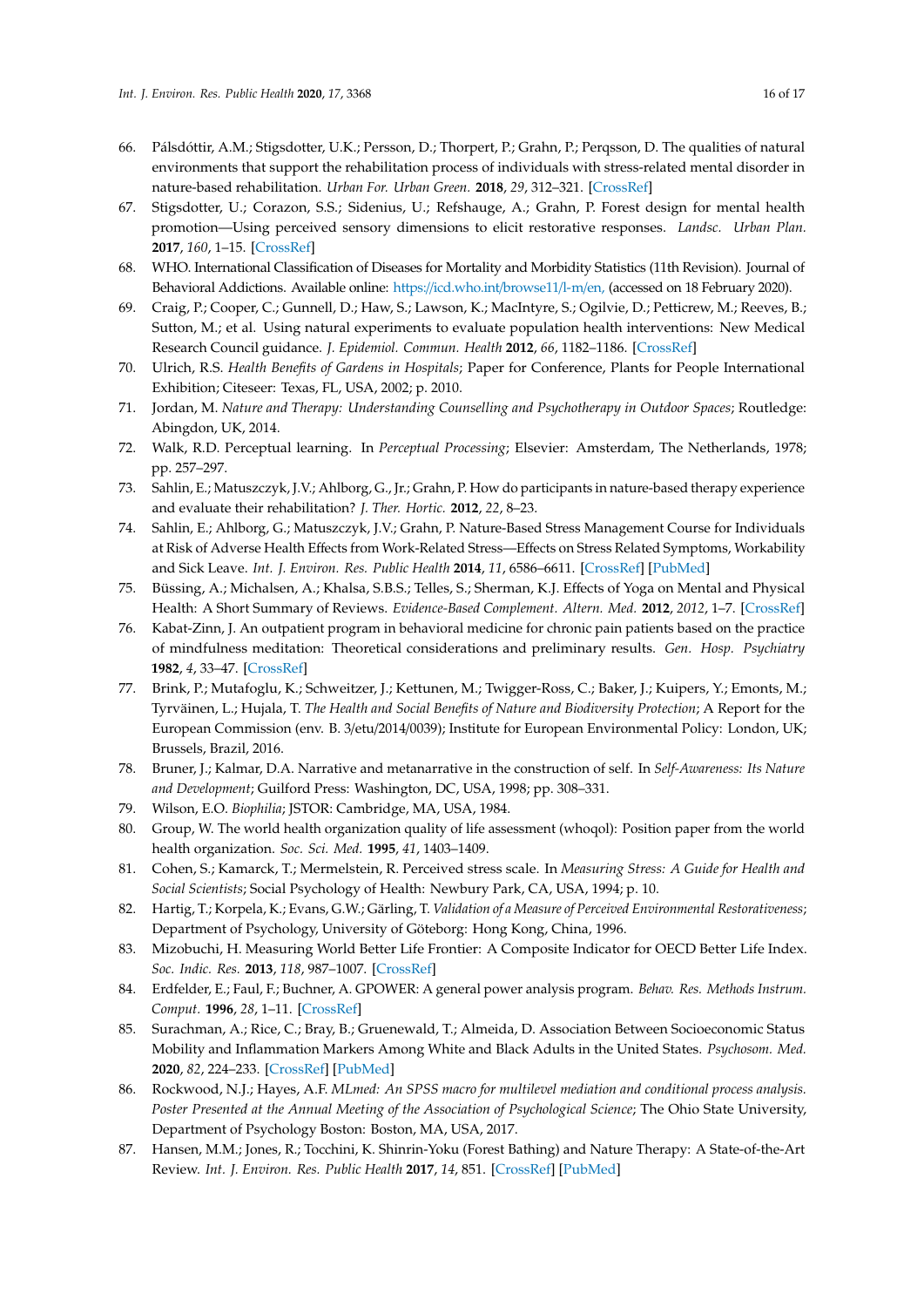- <span id="page-15-0"></span>66. Pálsdóttir, A.M.; Stigsdotter, U.K.; Persson, D.; Thorpert, P.; Grahn, P.; Perqsson, D. The qualities of natural environments that support the rehabilitation process of individuals with stress-related mental disorder in nature-based rehabilitation. *Urban For. Urban Green.* **2018**, *29*, 312–321. [\[CrossRef\]](http://dx.doi.org/10.1016/j.ufug.2017.11.016)
- <span id="page-15-1"></span>67. Stigsdotter, U.; Corazon, S.S.; Sidenius, U.; Refshauge, A.; Grahn, P. Forest design for mental health promotion—Using perceived sensory dimensions to elicit restorative responses. *Landsc. Urban Plan.* **2017**, *160*, 1–15. [\[CrossRef\]](http://dx.doi.org/10.1016/j.landurbplan.2016.11.012)
- <span id="page-15-2"></span>68. WHO. International Classification of Diseases for Mortality and Morbidity Statistics (11th Revision). Journal of Behavioral Addictions. Available online: https://[icd.who.int](https://icd.who.int/browse11/l-m/en,)/browse11/l-m/en, (accessed on 18 February 2020).
- <span id="page-15-3"></span>69. Craig, P.; Cooper, C.; Gunnell, D.; Haw, S.; Lawson, K.; MacIntyre, S.; Ogilvie, D.; Petticrew, M.; Reeves, B.; Sutton, M.; et al. Using natural experiments to evaluate population health interventions: New Medical Research Council guidance. *J. Epidemiol. Commun. Health* **2012**, *66*, 1182–1186. [\[CrossRef\]](http://dx.doi.org/10.1136/jech-2011-200375)
- <span id="page-15-4"></span>70. Ulrich, R.S. *Health Benefits of Gardens in Hospitals*; Paper for Conference, Plants for People International Exhibition; Citeseer: Texas, FL, USA, 2002; p. 2010.
- <span id="page-15-5"></span>71. Jordan, M. *Nature and Therapy: Understanding Counselling and Psychotherapy in Outdoor Spaces*; Routledge: Abingdon, UK, 2014.
- <span id="page-15-6"></span>72. Walk, R.D. Perceptual learning. In *Perceptual Processing*; Elsevier: Amsterdam, The Netherlands, 1978; pp. 257–297.
- <span id="page-15-7"></span>73. Sahlin, E.; Matuszczyk, J.V.; Ahlborg, G., Jr.; Grahn, P. How do participants in nature-based therapy experience and evaluate their rehabilitation? *J. Ther. Hortic.* **2012**, *22*, 8–23.
- <span id="page-15-8"></span>74. Sahlin, E.; Ahlborg, G.; Matuszczyk, J.V.; Grahn, P. Nature-Based Stress Management Course for Individuals at Risk of Adverse Health Effects from Work-Related Stress—Effects on Stress Related Symptoms, Workability and Sick Leave. *Int. J. Environ. Res. Public Health* **2014**, *11*, 6586–6611. [\[CrossRef\]](http://dx.doi.org/10.3390/ijerph110606586) [\[PubMed\]](http://www.ncbi.nlm.nih.gov/pubmed/25003175)
- <span id="page-15-9"></span>75. Büssing, A.; Michalsen, A.; Khalsa, S.B.S.; Telles, S.; Sherman, K.J. Effects of Yoga on Mental and Physical Health: A Short Summary of Reviews. *Evidence-Based Complement. Altern. Med.* **2012**, *2012*, 1–7. [\[CrossRef\]](http://dx.doi.org/10.1155/2012/165410)
- <span id="page-15-10"></span>76. Kabat-Zinn, J. An outpatient program in behavioral medicine for chronic pain patients based on the practice of mindfulness meditation: Theoretical considerations and preliminary results. *Gen. Hosp. Psychiatry* **1982**, *4*, 33–47. [\[CrossRef\]](http://dx.doi.org/10.1016/0163-8343(82)90026-3)
- <span id="page-15-11"></span>77. Brink, P.; Mutafoglu, K.; Schweitzer, J.; Kettunen, M.; Twigger-Ross, C.; Baker, J.; Kuipers, Y.; Emonts, M.; Tyrväinen, L.; Hujala, T. *The Health and Social Benefits of Nature and Biodiversity Protection*; A Report for the European Commission (env. B. 3/etu/2014/0039); Institute for European Environmental Policy: London, UK; Brussels, Brazil, 2016.
- <span id="page-15-12"></span>78. Bruner, J.; Kalmar, D.A. Narrative and metanarrative in the construction of self. In *Self-Awareness: Its Nature and Development*; Guilford Press: Washington, DC, USA, 1998; pp. 308–331.
- <span id="page-15-13"></span>79. Wilson, E.O. *Biophilia*; JSTOR: Cambridge, MA, USA, 1984.
- <span id="page-15-14"></span>80. Group, W. The world health organization quality of life assessment (whoqol): Position paper from the world health organization. *Soc. Sci. Med.* **1995**, *41*, 1403–1409.
- <span id="page-15-15"></span>81. Cohen, S.; Kamarck, T.; Mermelstein, R. Perceived stress scale. In *Measuring Stress: A Guide for Health and Social Scientists*; Social Psychology of Health: Newbury Park, CA, USA, 1994; p. 10.
- <span id="page-15-16"></span>82. Hartig, T.; Korpela, K.; Evans, G.W.; Gärling, T. *Validation of a Measure of Perceived Environmental Restorativeness*; Department of Psychology, University of Göteborg: Hong Kong, China, 1996.
- <span id="page-15-17"></span>83. Mizobuchi, H. Measuring World Better Life Frontier: A Composite Indicator for OECD Better Life Index. *Soc. Indic. Res.* **2013**, *118*, 987–1007. [\[CrossRef\]](http://dx.doi.org/10.1007/s11205-013-0457-x)
- <span id="page-15-18"></span>84. Erdfelder, E.; Faul, F.; Buchner, A. GPOWER: A general power analysis program. *Behav. Res. Methods Instrum. Comput.* **1996**, *28*, 1–11. [\[CrossRef\]](http://dx.doi.org/10.3758/BF03203630)
- <span id="page-15-19"></span>85. Surachman, A.; Rice, C.; Bray, B.; Gruenewald, T.; Almeida, D. Association Between Socioeconomic Status Mobility and Inflammation Markers Among White and Black Adults in the United States. *Psychosom. Med.* **2020**, *82*, 224–233. [\[CrossRef\]](http://dx.doi.org/10.1097/PSY.0000000000000752) [\[PubMed\]](http://www.ncbi.nlm.nih.gov/pubmed/31592888)
- <span id="page-15-20"></span>86. Rockwood, N.J.; Hayes, A.F. *MLmed: An SPSS macro for multilevel mediation and conditional process analysis. Poster Presented at the Annual Meeting of the Association of Psychological Science*; The Ohio State University, Department of Psychology Boston: Boston, MA, USA, 2017.
- <span id="page-15-21"></span>87. Hansen, M.M.; Jones, R.; Tocchini, K. Shinrin-Yoku (Forest Bathing) and Nature Therapy: A State-of-the-Art Review. *Int. J. Environ. Res. Public Health* **2017**, *14*, 851. [\[CrossRef\]](http://dx.doi.org/10.3390/ijerph14080851) [\[PubMed\]](http://www.ncbi.nlm.nih.gov/pubmed/28788101)